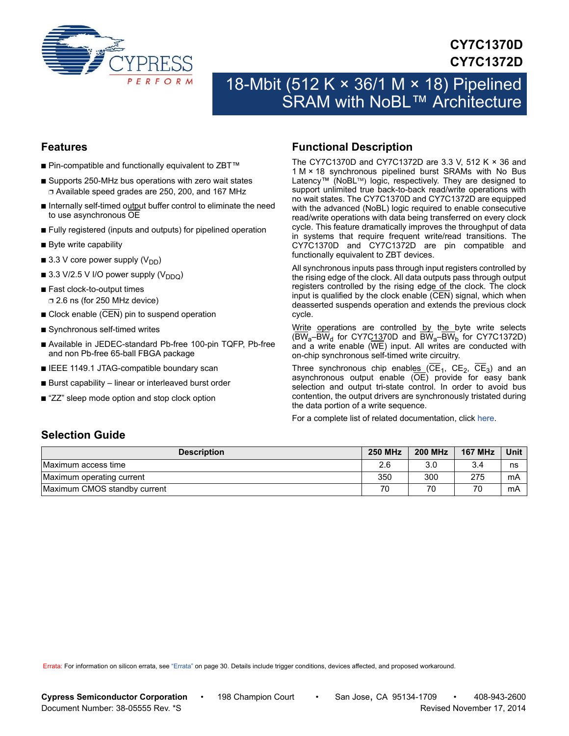

## **CY7C1370D CY7C1372D**

## 18-Mbit (512 K × 36/1 M × 18) Pipelined **SRAM with NoBL™ Architecture**

### <span id="page-0-1"></span>**Features**

- Pin-compatible and functionally equivalent to ZBT™
- Supports 250-MHz bus operations with zero wait states ❐ Available speed grades are 250, 200, and 167 MHz
- Internally self-timed output buffer control to eliminate the need to use asynchronous OE
- Fully registered (inputs and outputs) for pipelined operation
- Byte write capability
- 3.3 V core power supply  $(V_{DD})$
- 3.3 V/2.5 V I/O power supply  $(V_{DDQ})$
- Fast clock-to-output times ❐ 2.6 ns (for 250 MHz device)
- $\blacksquare$  Clock enable (CEN) pin to suspend operation
- Synchronous self-timed writes
- Available in JEDEC-standard Pb-free 100-pin TQFP, Pb-free and non Pb-free 65-ball FBGA package
- IEEE 1149.1 JTAG-compatible boundary scan
- Burst capability linear or interleaved burst order
- "ZZ" sleep mode option and stop clock option

## **Functional Description**

The CY7C1370D and CY7C1372D are 3.3 V, 512 K × 36 and 1 M × 18 synchronous pipelined burst SRAMs with No Bus Latency™ (NoBL™) logic, respectively. They are designed to support unlimited true back-to-back read/write operations with no wait states. The CY7C1370D and CY7C1372D are equipped with the advanced (NoBL) logic required to enable consecutive read/write operations with data being transferred on every clock cycle. This feature dramatically improves the throughput of data in systems that require frequent write/read transitions. The CY7C1370D and CY7C1372D are pin compatible and functionally equivalent to ZBT devices.

All synchronous inputs pass through input registers controlled by the rising edge of the clock. All data outputs pass through output registers controlled by the rising edge of the clock. The clock input is qualified by the clock enable (CEN) signal, which when deasserted suspends operation and extends the previous clock cycle.

Write operations are controlled by the byte write selects  $\overline{\text{BW}}_a-\overline{\text{BW}}_d$  for CY7C1370D and  $\overline{\text{BW}}_a-\overline{\text{BW}}_b$  for CY7C1372D) and a write enable (WE) input. All writes are conducted with on-chip synchronous self-timed write circuitry.

Three synchronous chip enables  $(CE_1, CE_2, CE_3)$  and an asynchronous output enable (OE) provide for easy bank selection and output tri-state control. In order to avoid bus contention, the output drivers are synchronously tristated during the data portion of a write sequence.

For a complete list of related documentation, click [here](http://www.cypress.com/?rID=14025).

## <span id="page-0-0"></span>**Selection Guide**

| <b>Description</b>           | <b>250 MHz</b> | <b>200 MHz</b> | <b>167 MHz</b> | Unit |
|------------------------------|----------------|----------------|----------------|------|
| Maximum access time          | 2.6            | 3.0            | 3.4            | ns   |
| Maximum operating current    | 350            | 300            | 275            | mA   |
| Maximum CMOS standby current | 70             | 70             | 70             | mA   |

Errata: For information on silicon errata, see ["Errata" on page 30.](#page-29-0) Details include trigger conditions, devices affected, and proposed workaround.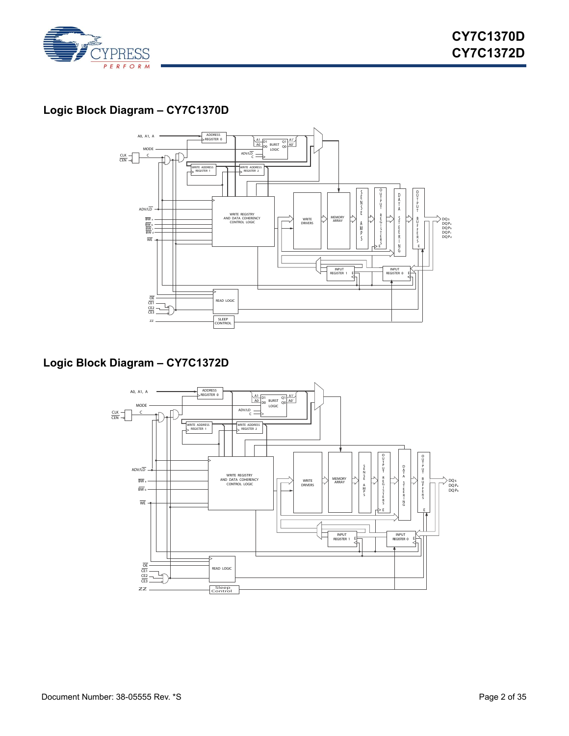

## **Logic Block Diagram – CY7C1370D**



## **Logic Block Diagram – CY7C1372D**

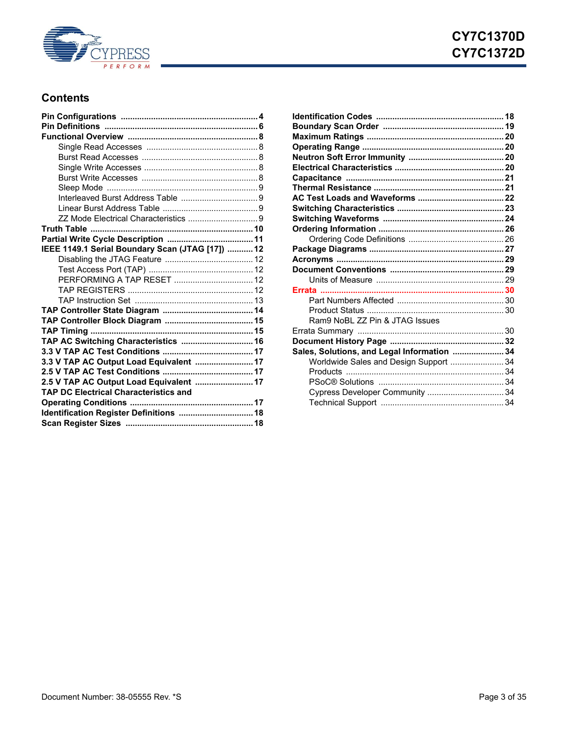

## **Contents**

| ZZ Mode Electrical Characteristics  9            |  |
|--------------------------------------------------|--|
|                                                  |  |
|                                                  |  |
| IEEE 1149.1 Serial Boundary Scan (JTAG [17])  12 |  |
|                                                  |  |
|                                                  |  |
|                                                  |  |
|                                                  |  |
|                                                  |  |
|                                                  |  |
|                                                  |  |
|                                                  |  |
| TAP AC Switching Characteristics  16             |  |
|                                                  |  |
| 3.3 V TAP AC Output Load Equivalent  17          |  |
|                                                  |  |
| 2.5 V TAP AC Output Load Equivalent  17          |  |
| <b>TAP DC Electrical Characteristics and</b>     |  |
|                                                  |  |
| Identification Register Definitions  18          |  |
|                                                  |  |
|                                                  |  |

| Ram9 NoBL ZZ Pin & JTAG Issues              |  |
|---------------------------------------------|--|
|                                             |  |
|                                             |  |
| Sales, Solutions, and Legal Information  34 |  |
| Worldwide Sales and Design Support  34      |  |
|                                             |  |
|                                             |  |
| Cypress Developer Community  34             |  |
|                                             |  |
|                                             |  |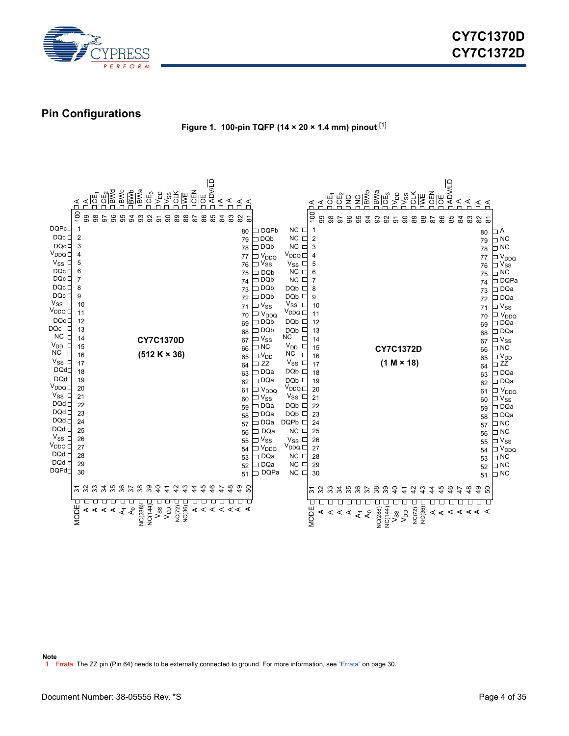

### <span id="page-3-2"></span><span id="page-3-0"></span>**Pin Configurations**

**Figure 1. 100-pin TQFP (14 × 20 × 1.4 mm) pinout** [\[1](#page-3-1)]



<span id="page-3-1"></span>1. Errata: The ZZ pin (Pin 64) needs to be externally connected to ground. For more information, see ["Errata" on page 30.](#page-29-0)

**Note**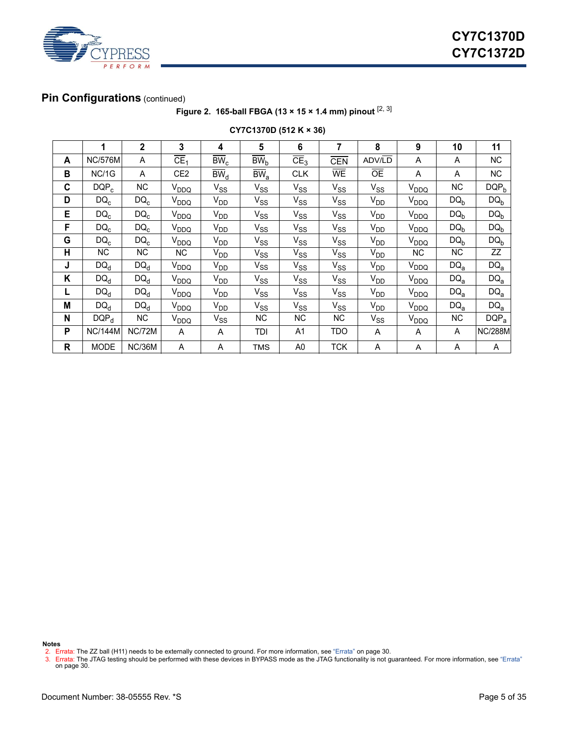

## <span id="page-4-2"></span>**Pin Configurations** (continued)

**Figure 2. 165-ball FBGA (13 × 15 × 1.4 mm) pinout** [[2,](#page-4-0) [3\]](#page-4-1)

|              | 1                | $\overline{2}$ | 3                        | 4                          | 5                   | 6               | 7          | 8               | 9                | 10              | 11               |
|--------------|------------------|----------------|--------------------------|----------------------------|---------------------|-----------------|------------|-----------------|------------------|-----------------|------------------|
| A            | <b>NC/576M</b>   | A              | $\overline{\text{CE}}_1$ | $\overline{\text{BW}}_{c}$ | BW <sub>h</sub>     | CE <sub>3</sub> | <b>CEN</b> | ADV/LD          | A                | A               | <b>NC</b>        |
| B            | NC/1G            | A              | CE <sub>2</sub>          | $\overline{\text{BW}}_{d}$ | $\overline{BW}_{a}$ | <b>CLK</b>      | <b>WE</b>  | $\overline{OE}$ | A                | A               | <b>NC</b>        |
| C            | $DQP_c$          | <b>NC</b>      | V <sub>DDQ</sub>         | $V_{SS}$                   | $V_{SS}$            | $V_{SS}$        | $V_{SS}$   | $V_{SS}$        | V <sub>DDQ</sub> | <b>NC</b>       | DQP <sub>b</sub> |
| D            | $DQ_c$           | $DQ_c$         | V <sub>DDQ</sub>         | $V_{DD}$                   | $V_{SS}$            | $V_{SS}$        | $V_{SS}$   | $V_{DD}$        | V <sub>DDQ</sub> | $DQ_b$          | $DQ_b$           |
| E            | $DQ_c$           | $DQ_c$         | V <sub>DDQ</sub>         | $V_{DD}$                   | $V_{SS}$            | $V_{SS}$        | $V_{SS}$   | $V_{DD}$        | V <sub>DDQ</sub> | $DQ_{b}$        | $DQ_b$           |
| F            | $DQ_c$           | $DQ_c$         | V <sub>DDQ</sub>         | $V_{DD}$                   | $V_{SS}$            | $V_{SS}$        | $V_{SS}$   | $V_{DD}$        | V <sub>DDQ</sub> | $DQ_{b}$        | $DQ_b$           |
| G            | $DQ_c$           | $DQ_c$         | V <sub>DDQ</sub>         | $V_{DD}$                   | $V_{SS}$            | $V_{SS}$        | $V_{SS}$   | V <sub>DD</sub> | V <sub>DDQ</sub> | $DQ_{b}$        | $DQ_b$           |
| Н            | <b>NC</b>        | ΝC             | NC                       | $V_{DD}$                   | $V_{SS}$            | $V_{SS}$        | $V_{SS}$   | V <sub>DD</sub> | NC               | NC.             | ZΖ               |
| J            | $DQ_d$           | $DQ_d$         | $V_{DDQ}$                | $V_{DD}$                   | $V_{SS}$            | $V_{SS}$        | $V_{SS}$   | $V_{DD}$        | V <sub>DDQ</sub> | $DQ_a$          | $DQ_{a}$         |
| Κ            | $DQ_d$           | $DQ_d$         | V <sub>DDQ</sub>         | $V_{DD}$                   | $V_{SS}$            | $V_{SS}$        | $V_{SS}$   | $V_{DD}$        | V <sub>DDQ</sub> | $DQ_a$          | $DQ_{a}$         |
| L            | $DQ_d$           | $DQ_d$         | V <sub>DDQ</sub>         | $V_{DD}$                   | $V_{SS}$            | $V_{SS}$        | $V_{SS}$   | V <sub>DD</sub> | V <sub>DDQ</sub> | $DQ_{a}$        | DQ <sub>a</sub>  |
| M            | $DQ_d$           | $DQ_d$         | V <sub>DDQ</sub>         | $V_{DD}$                   | $V_{SS}$            | $V_{SS}$        | $V_{SS}$   | V <sub>DD</sub> | V <sub>DDQ</sub> | DQ <sub>a</sub> | DQ <sub>a</sub>  |
| N            | DQP <sub>d</sub> | NC.            | V <sub>DDQ</sub>         | $V_{SS}$                   | <b>NC</b>           | <b>NC</b>       | NC.        | $V_{SS}$        | V <sub>DDQ</sub> | <b>NC</b>       | $DQP_a$          |
| P            | <b>NC/144M</b>   | <b>NC/72M</b>  | A                        | A                          | tdi                 | A1              | <b>TDO</b> | A               | Α                | A               | <b>NC/288M</b>   |
| $\mathsf{R}$ | <b>MODE</b>      | NC/36M         | A                        | A                          | <b>TMS</b>          | A0              | <b>TCK</b> | A               | Α                | A               | A                |

**CY7C1370D (512 K × 36)** 

**Notes**

<span id="page-4-0"></span>2. Errata: The ZZ ball (H11) needs to be externally connected to ground. For more information, see ["Errata" on page 30.](#page-29-0)

<span id="page-4-1"></span>3. Errata: The JTAG testing should be performed with these devices in BYPASS mode as the JTAG functionality is not guaranteed. For more information, see ["Errata"](#page-29-0)  [on page 30.](#page-29-0)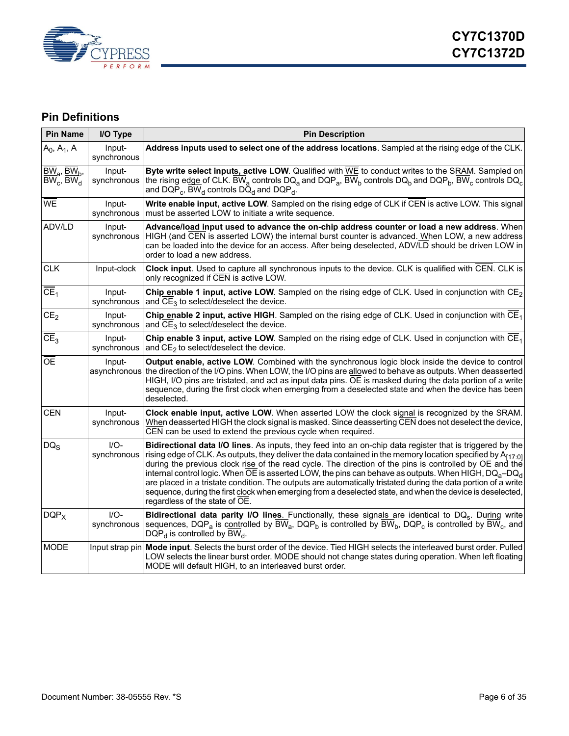

## <span id="page-5-0"></span>**Pin Definitions**

| <b>Pin Name</b>                                                | I/O Type              | <b>Pin Description</b>                                                                                                                                                                                                                                                                                                                                                                                                                                                                                                                                                                                                                                                                                                       |  |  |  |  |  |
|----------------------------------------------------------------|-----------------------|------------------------------------------------------------------------------------------------------------------------------------------------------------------------------------------------------------------------------------------------------------------------------------------------------------------------------------------------------------------------------------------------------------------------------------------------------------------------------------------------------------------------------------------------------------------------------------------------------------------------------------------------------------------------------------------------------------------------------|--|--|--|--|--|
| $A_0$ , $A_1$ , A                                              | Input-<br>synchronous | Address inputs used to select one of the address locations. Sampled at the rising edge of the CLK.                                                                                                                                                                                                                                                                                                                                                                                                                                                                                                                                                                                                                           |  |  |  |  |  |
| $BW_a$ , $BW_b$ ,<br>$\overline{BW_{c}}$ , $\overline{BW_{d}}$ | Input-<br>synchronous | Byte write select inputs, active LOW. Qualified with WE to conduct writes to the SRAM. Sampled on<br>the rising edge of CLK. $\overline{BW}_a$ controls DQ <sub>a</sub> and DQP <sub>a</sub> , $\overline{BW}_b$ controls DQ <sub>b</sub> and DQP <sub>b</sub> , $\overline{BW}_c$ controls DQ <sub>c</sub><br>and DQP <sub>c</sub> , BW <sub>d</sub> controls $D\ddot{Q}_d$ and DQP <sub>d</sub> .                                                                                                                                                                                                                                                                                                                          |  |  |  |  |  |
| <b>WE</b>                                                      | Input-<br>synchronous | Write enable input, active LOW. Sampled on the rising edge of CLK if CEN is active LOW. This signal<br>must be asserted LOW to initiate a write sequence.                                                                                                                                                                                                                                                                                                                                                                                                                                                                                                                                                                    |  |  |  |  |  |
| ADV/LD                                                         | Input-<br>synchronous | Advance/load input used to advance the on-chip address counter or load a new address. When<br>HIGH (and CEN is asserted LOW) the internal burst counter is advanced. When LOW, a new address<br>can be loaded into the device for an access. After being deselected, ADV/LD should be driven LOW in<br>order to load a new address.                                                                                                                                                                                                                                                                                                                                                                                          |  |  |  |  |  |
| <b>CLK</b>                                                     | Input-clock           | Clock input. Used to capture all synchronous inputs to the device. CLK is qualified with CEN. CLK is<br>only recognized if CEN is active LOW.                                                                                                                                                                                                                                                                                                                                                                                                                                                                                                                                                                                |  |  |  |  |  |
| CE <sub>1</sub>                                                | Input-<br>synchronous | Chip enable 1 input, active LOW. Sampled on the rising edge of CLK. Used in conjunction with CE <sub>2</sub><br>and $CE_3$ to select/deselect the device.                                                                                                                                                                                                                                                                                                                                                                                                                                                                                                                                                                    |  |  |  |  |  |
| CE <sub>2</sub>                                                | Input-<br>synchronous | Chip enable 2 input, active HIGH. Sampled on the rising edge of CLK. Used in conjunction with $CE_1$<br>and $CE_3$ to select/deselect the device.                                                                                                                                                                                                                                                                                                                                                                                                                                                                                                                                                                            |  |  |  |  |  |
| CE <sub>3</sub>                                                | Input-<br>synchronous | Chip enable 3 input, active LOW. Sampled on the rising edge of CLK. Used in conjunction with $CE_1$<br>and $CE2$ to select/deselect the device.                                                                                                                                                                                                                                                                                                                                                                                                                                                                                                                                                                              |  |  |  |  |  |
| <b>OE</b>                                                      | Input-                | Output enable, active LOW. Combined with the synchronous logic block inside the device to control<br>asynchronous the direction of the I/O pins. When LOW, the I/O pins are allowed to behave as outputs. When deasserted<br>HIGH, I/O pins are tristated, and act as input data pins. OE is masked during the data portion of a write<br>sequence, during the first clock when emerging from a deselected state and when the device has been<br>deselected.                                                                                                                                                                                                                                                                 |  |  |  |  |  |
| <b>CEN</b>                                                     | Input-<br>synchronous | Clock enable input, active LOW. When asserted LOW the clock signal is recognized by the SRAM.<br>When deasserted HIGH the clock signal is masked. Since deasserting CEN does not deselect the device,<br>CEN can be used to extend the previous cycle when required.                                                                                                                                                                                                                                                                                                                                                                                                                                                         |  |  |  |  |  |
| $DQ_S$                                                         | $I/O-$<br>synchronous | Bidirectional data I/O lines. As inputs, they feed into an on-chip data register that is triggered by the<br>rising edge of CLK. As outputs, they deliver the data contained in the memory location specified by A <sub>[17:0]</sub><br>during the previous clock rise of the read cycle. The direction of the pins is controlled by OE and the<br>internal control logic. When OE is asserted LOW, the pins can behave as outputs. When HIGH, $DQ_a-DQ_d$<br>are placed in a tristate condition. The outputs are automatically tristated during the data portion of a write<br>sequence, during the first clock when emerging from a deselected state, and when the device is deselected,<br>regardless of the state of OE. |  |  |  |  |  |
| $DQP_X$                                                        | $I/O-$<br>synchronous | Bidirectional data parity I/O lines. Functionally, these signals are identical to DQ <sub>s</sub> . During write<br>sequences, DQP <sub>a</sub> is controlled by $\overline{BW}_a$ , DQP <sub>b</sub> is controlled by $\overline{BW}_b$ , DQP <sub>c</sub> is controlled by $\overline{BW}_c$ , and<br>DQP <sub>d</sub> is controlled by BW <sub>d</sub> .                                                                                                                                                                                                                                                                                                                                                                  |  |  |  |  |  |
| <b>MODE</b>                                                    |                       | Input strap pin Mode input. Selects the burst order of the device. Tied HIGH selects the interleaved burst order. Pulled<br>LOW selects the linear burst order. MODE should not change states during operation. When left floating<br>MODE will default HIGH, to an interleaved burst order.                                                                                                                                                                                                                                                                                                                                                                                                                                 |  |  |  |  |  |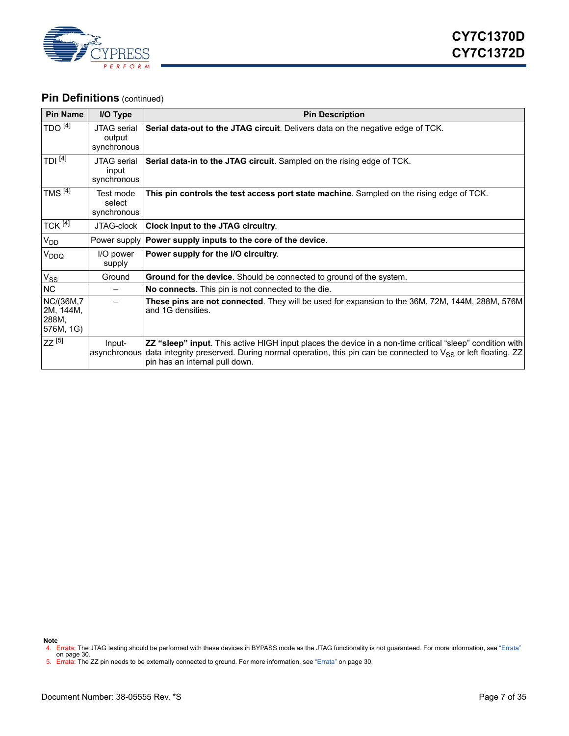

## **Pin Definitions** (continued)

| <b>Pin Name</b>                              | I/O Type                                    | <b>Pin Description</b>                                                                                                                                                                                                                                                           |
|----------------------------------------------|---------------------------------------------|----------------------------------------------------------------------------------------------------------------------------------------------------------------------------------------------------------------------------------------------------------------------------------|
| TDO <sup>[4]</sup>                           | <b>JTAG</b> serial<br>output<br>synchronous | <b>Serial data-out to the JTAG circuit</b> . Delivers data on the negative edge of TCK.                                                                                                                                                                                          |
| TDI <sup>[4]</sup>                           | <b>JTAG</b> serial<br>input<br>synchronous  | Serial data-in to the JTAG circuit. Sampled on the rising edge of TCK.                                                                                                                                                                                                           |
| TMS <sup>[4]</sup>                           | Test mode<br>select<br>synchronous          | This pin controls the test access port state machine. Sampled on the rising edge of TCK.                                                                                                                                                                                         |
| <b>TCK</b> <sup>[4]</sup>                    | JTAG-clock                                  | <b>Clock input to the JTAG circuitry.</b>                                                                                                                                                                                                                                        |
| $V_{DD}$                                     |                                             | Power supply   Power supply inputs to the core of the device.                                                                                                                                                                                                                    |
| V <sub>DDQ</sub>                             | I/O power<br>supply                         | Power supply for the I/O circuitry.                                                                                                                                                                                                                                              |
| $V_{SS}$                                     | Ground                                      | Ground for the device. Should be connected to ground of the system.                                                                                                                                                                                                              |
| NC                                           |                                             | No connects. This pin is not connected to the die.                                                                                                                                                                                                                               |
| NC/(36M,7<br>2M, 144M,<br>288M,<br>576M, 1G) |                                             | These pins are not connected. They will be used for expansion to the 36M, 72M, 144M, 288M, 576M<br>and 1G densities.                                                                                                                                                             |
| $ZZ^{[5]}$                                   | Input-                                      | <b>ZZ "sleep" input</b> . This active HIGH input places the device in a non-time critical "sleep" condition with<br>asynchronous data integrity preserved. During normal operation, this pin can be connected to $V_{SS}$ or left floating. ZZ<br>pin has an internal pull down. |

**Note**

<span id="page-6-1"></span><sup>4.</sup> Errata: The JTAG testing should be performed with these devices in BYPASS mode as the JTAG functionality is not guaranteed. For more information, see "Errata"<br>[on page 30.](#page-29-0)<br>5. Errata: The ZZ pin needs to be externally con

<span id="page-6-0"></span>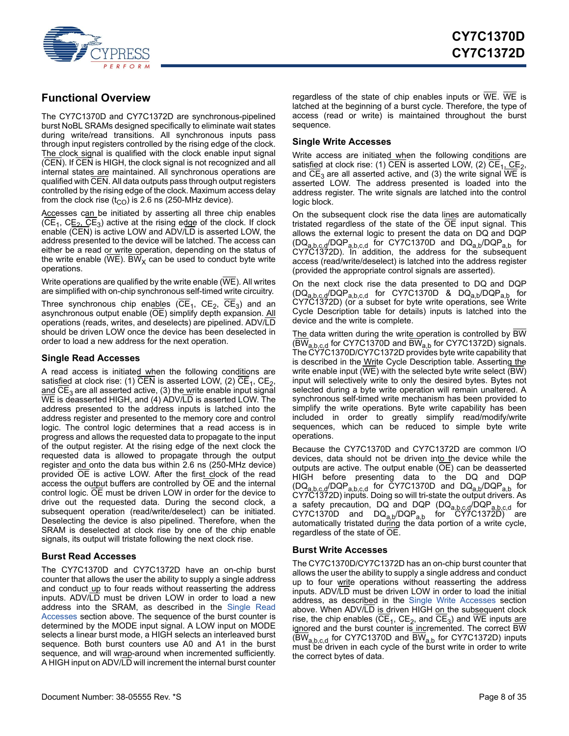

## <span id="page-7-0"></span>**Functional Overview**

The CY7C1370D and CY7C1372D are synchronous-pipelined burst NoBL SRAMs designed specifically to eliminate wait states during write/read transitions. All synchronous inputs pass through input registers controlled by the rising edge of the clock. The clock signal is qualified with the clock enable input signal (CEN). If CEN is HIGH, the clock signal is not recognized and all internal states are maintained. All synchronous operations are qualified with CEN. All data outputs pass through output registers controlled by the rising edge of the clock. Maximum access delay from the clock rise  $(t_{CO})$  is 2.6 ns (250-MHz device).

Accesses can be initiated by asserting all three chip enables  $(CE<sub>1</sub>, CE<sub>2</sub>, CE<sub>3</sub>)$  active at the rising edge of the clock. If clock enable (CEN) is active LOW and ADV/LD is asserted LOW, the address presented to the device will be latched. The access can either be a read or write operation, depending on the status of the write enable (WE). BW<sub>X</sub> can be used to conduct byte write operations.

Write operations are qualified by the write enable (WE). All writes are simplified with on-chip synchronous self-timed write circuitry.

Three synchronous chip enables  $(CE_1, CE_2, CE_3)$  and an asynchronous output enable (OE) simplify depth expansion. All operations (reads, writes, and deselects) are pipelined. ADV/LD should be driven LOW once the device has been deselected in order to load a new address for the next operation.

### <span id="page-7-1"></span>**Single Read Accesses**

A read access is initiated when the following conditions are satisfied at clock rise: (1) CEN is asserted LOW, (2)  $CE_1$ ,  $CE_2$ , and  $CE<sub>3</sub>$  are all asserted active, (3) the write enable input signal WE is deasserted HIGH, and (4) ADV/LD is asserted LOW. The address presented to the address inputs is latched into the address register and presented to the memory core and control logic. The control logic determines that a read access is in progress and allows the requested data to propagate to the input of the output register. At the rising edge of the next clock the requested data is allowed to propagate through the output register and onto the data bus within 2.6 ns (250-MHz device) provided OE is active LOW. After the first clock of the read access the output buffers are controlled by OE and the internal control logic. OE must be driven LOW in order for the device to drive out the requested data. During the second clock, a subsequent operation (read/write/deselect) can be initiated. Deselecting the device is also pipelined. Therefore, when the SRAM is deselected at clock rise by one of the chip enable signals, its output will tristate following the next clock rise.

### <span id="page-7-2"></span>**Burst Read Accesses**

The CY7C1370D and CY7C1372D have an on-chip burst counter that allows the user the ability to supply a single address and conduct up to four reads without reasserting the address inputs. ADV/LD must be driven LOW in order to load a new address into the SRAM, as described in the [Single Read](#page-7-1) [Accesses](#page-7-1) section above. The sequence of the burst counter is determined by the MODE input signal. A LOW input on MODE selects a linear burst mode, a HIGH selects an interleaved burst sequence. Both burst counters use A0 and A1 in the burst sequence, and will wrap-around when incremented sufficiently. A HIGH input on ADV/LD will increment the internal burst counter regardless of the state of chip enables inputs or  $\overline{WE}$ . WE is latched at the beginning of a burst cycle. Therefore, the type of access (read or write) is maintained throughout the burst sequence.

### <span id="page-7-3"></span>**Single Write Accesses**

Write access are initiated when the following conditions are satisfied at clock rise: (1) CEN is asserted LOW, (2)  $CE_1$ ,  $CE_2$ , and  $CE<sub>3</sub>$  are all asserted active, and (3) the write signal WE is asserted LOW. The address presented is loaded into the address register. The write signals are latched into the control logic block.

On the subsequent clock rise the data lines are automatically tristated regardless of the state of the OE input signal. This allows the external logic to present the data on DQ and DQP  $(DQ_{a,b,c,d}/DQP_{a,b,c,d}$  for CY7C1370D and  $DQ_{a,b}/DQP_{a,b}$  for CY7C1372D). In addition, the address for the subsequent access (read/write/deselect) is latched into the address register (provided the appropriate control signals are asserted).

On the next clock rise the data presented to DQ and DQP  $(\mathsf{DQ}_{\mathsf{a},\mathsf{b},\mathsf{c},\mathsf{d}}\!/\mathsf{DQP}_{\mathsf{a},\mathsf{b},\mathsf{c},\mathsf{d}}$  for CY7C1370D &  $\mathsf{DQ}_{\mathsf{a},\mathsf{b}}\!/\mathsf{DQP}_{\mathsf{a},\mathsf{b}}$  for CY7C1372D) (or a subset for byte write operations, see Write Cycle Description table for details) inputs is latched into the device and the write is complete.

The data written during the write operation is controlled by BW  $(BW_{a,b,c,d}$  for CY7C1370D and  $BW_{a,b}$  for CY7C1372D) signals. The CY7C1370D/CY7C1372D provides byte write capability that is described in the Write Cycle Description table. Asserting the write enable input (WE) with the selected byte write select (BW) input will selectively write to only the desired bytes. Bytes not selected during a byte write operation will remain unaltered. A synchronous self-timed write mechanism has been provided to simplify the write operations. Byte write capability has been included in order to greatly simplify read/modify/write sequences, which can be reduced to simple byte write operations.

Because the CY7C1370D and CY7C1372D are common I/O devices, data should not be driven into the device while the outputs are active. The output enable (OE) can be deasserted HIGH before presenting data to the DQ and DQP  $(DQ_{a,b,c,d}/DQP_{a,b,c,d}$  for CY7C1370D and  $DQ_{a,b}/DQP_{a,b}$  for CY7C1372D) inputs. Doing so will tri-state the output drivers. As a safety precaution, DQ and DQP (DQ<sub>a,b,c,d</sub>/DQP<sub>a,b,c,d</sub> for  $CY7C1370D$  and  $DQ_{a,b}/DQP_{a,b}$  for  $CY7C1372D)$  are automatically tristated during the data portion of a write cycle, regardless of the state of OE.

### <span id="page-7-4"></span>**Burst Write Accesses**

The CY7C1370D/CY7C1372D has an on-chip burst counter that allows the user the ability to supply a single address and conduct up to four write operations without reasserting the address inputs. ADV/LD must be driven LOW in order to load the initial address, as described in the [Single Write Accesses](#page-7-3) section above. When ADV/LD is driven HIGH on the subsequent clock rise, the chip enables (CE<sub>1</sub>, CE<sub>2</sub>, and CE<sub>3</sub>) and WE inputs are ignored and the burst counter is incremented. The correct BW  $(\overline{BW}_{a,b,c,d}$  for CY7C1370D and  $\overline{BW}_{a,b}$  for CY7C1372D) inputs must be driven in each cycle of the burst write in order to write the correct bytes of data.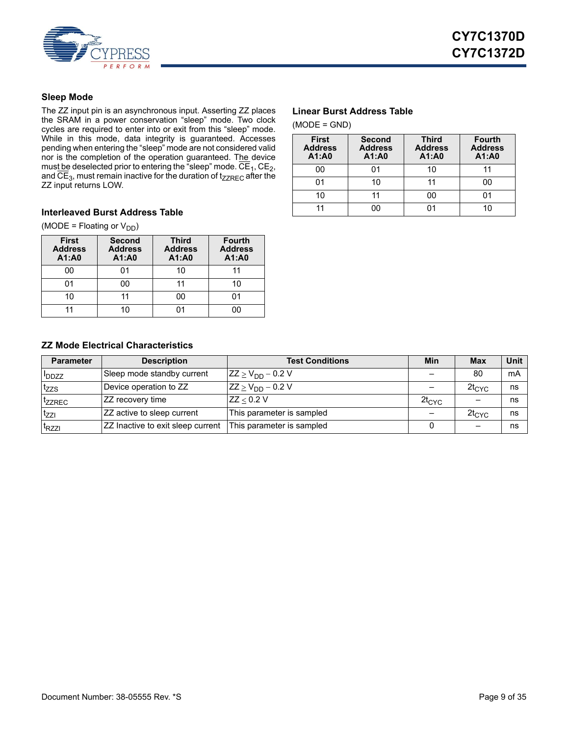

### <span id="page-8-0"></span>**Sleep Mode**

The ZZ input pin is an asynchronous input. Asserting ZZ places the SRAM in a power conservation "sleep" mode. Two clock cycles are required to enter into or exit from this "sleep" mode. While in this mode, data integrity is guaranteed. Accesses pending when entering the "sleep" mode are not considered valid nor is the completion of the operation guaranteed. The device mus<u>t be</u> deselected prior to entering the "sleep" mode.  $\mathsf{CE_1}, \mathsf{CE_2},$ and  $CE_3$ , must remain inactive for the duration of  $t_{ZZREC}$  after the ZZ input returns LOW.

### <span id="page-8-1"></span>**Interleaved Burst Address Table**

(MODE = Floating or  $V_{DD}$ )

| <b>First</b><br><b>Address</b><br>A1:AD | <b>Second</b><br><b>Address</b><br>A1:A0 | <b>Third</b><br><b>Address</b><br>A1:A0 | <b>Fourth</b><br><b>Address</b><br>A1:A0 |
|-----------------------------------------|------------------------------------------|-----------------------------------------|------------------------------------------|
| ΩO                                      |                                          | 10                                      |                                          |
|                                         | 00                                       |                                         | 10                                       |
| 10                                      | 11                                       | 00                                      | በ1                                       |
|                                         | 10                                       |                                         |                                          |

### <span id="page-8-2"></span>**Linear Burst Address Table**

(MODE = GND)

| <b>First</b><br><b>Address</b><br>A1:A0 | <b>Second</b><br><b>Address</b><br>A1:A0 | <b>Third</b><br><b>Address</b><br>A1:A0 | <b>Fourth</b><br><b>Address</b><br>A1:A0 |
|-----------------------------------------|------------------------------------------|-----------------------------------------|------------------------------------------|
| 00                                      | ი1                                       | 10                                      |                                          |
|                                         | 10                                       | 11                                      | 00                                       |
| 10                                      | 11                                       | იი                                      |                                          |
|                                         | იი                                       |                                         |                                          |

### <span id="page-8-3"></span>**ZZ Mode Electrical Characteristics**

| <b>Parameter</b>   | <b>Description</b>                | <b>Test Conditions</b>    | Min        | <b>Max</b> | <b>Unit</b> |
|--------------------|-----------------------------------|---------------------------|------------|------------|-------------|
| <b>I</b> DDZZ      | Sleep mode standby current        | $ZZ \ge V_{DD} - 0.2 V$   |            | 80         | mA          |
| tzzs               | Device operation to ZZ            | $ZZ \geq V_{DD} - 0.2 V$  |            | $2t_{CYC}$ | ns          |
| <sup>t</sup> zzrec | ZZ recovery time                  | ZZ < 0.2 V                | $2t_{CYC}$ |            | ns          |
| tzzi               | ZZ active to sleep current        | This parameter is sampled |            | $2t_{CYC}$ | ns          |
| t <sub>RZZI</sub>  | ZZ Inactive to exit sleep current | This parameter is sampled |            |            | ns          |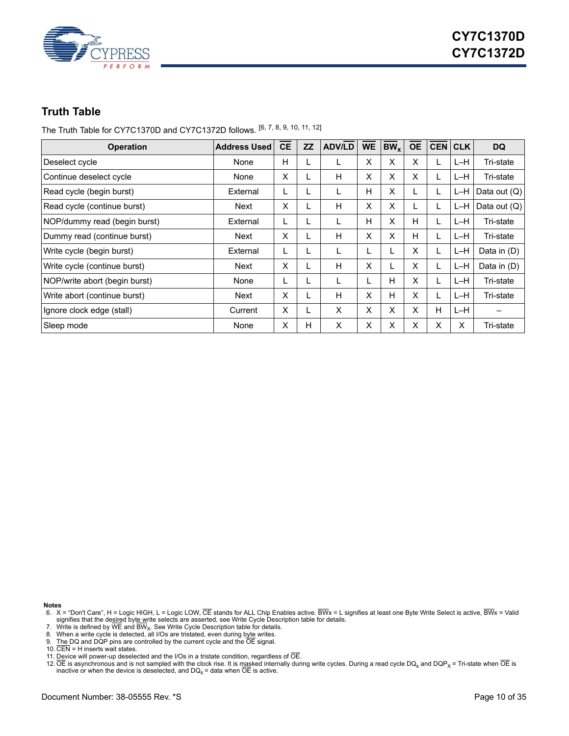

## <span id="page-9-0"></span>**Truth Table**

The Truth Table for CY7C1370D and CY7C1372D follows. [[6,](#page-9-1) [7,](#page-9-2) [8,](#page-9-3) [9,](#page-9-4) [10,](#page-9-5) [11](#page-9-6), [12](#page-9-7)]

| <b>Operation</b>              | <b>Address Used</b> | <b>CE</b> | <b>ZZ</b> | <b>ADV/LD</b> | <b>WE</b> | BW <sub>x</sub> | <b>OE</b> |   | <b>CEN CLK</b> | <b>DQ</b>      |
|-------------------------------|---------------------|-----------|-----------|---------------|-----------|-----------------|-----------|---|----------------|----------------|
| Deselect cycle                | None                | H         | L         |               | X         | X               | X         |   | L-H            | Tri-state      |
| Continue deselect cycle       | None                | X         | L         | н             | X         | X               | X         |   | L-H            | Tri-state      |
| Read cycle (begin burst)      | External            |           | L         |               | H         | х               |           |   | L-H            | Data out $(Q)$ |
| Read cycle (continue burst)   | Next                | X         |           | H             | X         | X               |           | L | $L-H$          | Data out $(Q)$ |
| NOP/dummy read (begin burst)  | External            |           | L         |               | H         | X               | H         |   | L-H            | Tri-state      |
| Dummy read (continue burst)   | Next                | X         |           | н             | X         | X               | н         |   | L-H            | Tri-state      |
| Write cycle (begin burst)     | External            |           | L         |               | ┗         |                 | X         | L | $L-H$          | Data in $(D)$  |
| Write cycle (continue burst)  | Next                | X         |           | н             | X         |                 | X         | L | $L-H$          | Data in (D)    |
| NOP/write abort (begin burst) | None                |           |           |               | L         | н               | X         |   | $L-H$          | Tri-state      |
| Write abort (continue burst)  | Next                | X         |           | H             | X         | Н               | X         | L | L-H            | Tri-state      |
| Ignore clock edge (stall)     | Current             | X         | L         | X             | X         | X               | X         | H | $L-H$          |                |
| Sleep mode                    | None                | X         | н         | X             | X         | X               | X         | x | X              | Tri-state      |

**Notes**

- <span id="page-9-1"></span>6. X = "Don't Care", H = Logic HIGH, L = Logic LOW, CE stands for ALL Chip Enables active. BWx = L signifies at least one Byte Write Select is active, BWx = Valid<br>signifies that the desired byte write selects are asserted,
- <span id="page-9-2"></span>7. Write is defined by WE and BW<sub>X</sub>. See Write Cycle Description table for details.<br>8. When a write cycle is detected, all I/Os are tristated, even during b<u>yte</u> writes.<br>9. The DQ and DQP pins are controlled by the current
- <span id="page-9-3"></span>
- <span id="page-9-4"></span>
- <span id="page-9-5"></span>10.  $\overline{\text{CEN}}$  = H inserts wait states.
- <span id="page-9-6"></span>11. Device will power-up deselected and the I/Os in a tristate condition, regardless of  $\overline{OE}$ .
- <span id="page-9-7"></span>12. OE is asynchronous and is not sampled with the clock rise. It is masked internally during write cycles. During a read cycle DQ<sub>s</sub> and DQP<sub>X</sub> = Tri-state when OE is inactive or when the device is deselected, and DQ<sub>s</sub>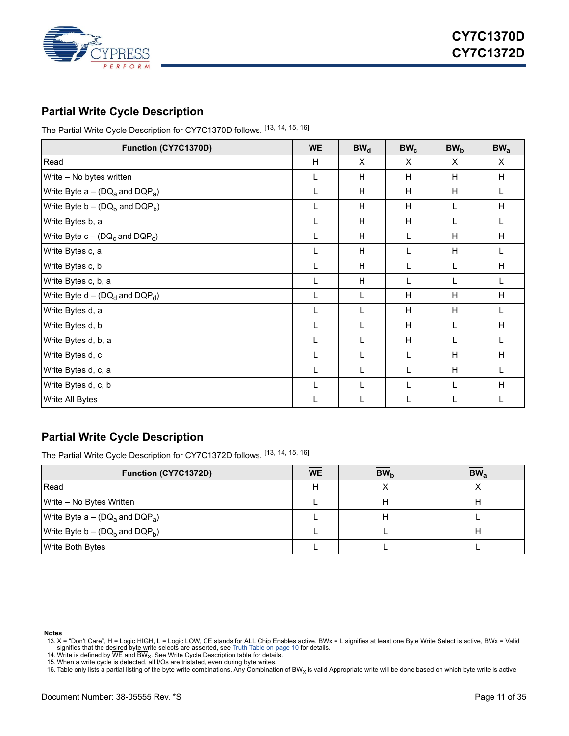

## <span id="page-10-0"></span>**Partial Write Cycle Description**

The Partial Write Cycle Description for CY7C1370D follows. [[13,](#page-10-1) [14,](#page-10-2) [15,](#page-10-3) [16\]](#page-10-4)

| Function (CY7C1370D)                       | <b>WE</b> | $BW_{d}$ | $BW_c$ | BW <sub>b</sub> | BW <sub>a</sub> |
|--------------------------------------------|-----------|----------|--------|-----------------|-----------------|
| Read                                       | H         | X        | X      | X               | X               |
| Write - No bytes written                   | L         | H        | H      | H               | H               |
| Write Byte $a - (DQ_a$ and $DQP_a$ )       | L         | H        | H      | H               |                 |
| Write Byte $b - (DQ_h$ and $DQP_h$ )       | L         | H        | H      | L               | H               |
| Write Bytes b, a                           | L         | H        | H      | L               |                 |
| Write Byte $c - (DQ_c \text{ and } DQP_c)$ | L         | H        | L      | H               | H               |
| Write Bytes c, a                           |           | H        | L      | H               |                 |
| Write Bytes c, b                           | L         | H        | L      | L               | H               |
| Write Bytes c, b, a                        | L         | H        | L      |                 |                 |
| Write Byte $d - (DQ_d$ and $DQP_d$ )       | L         | L        | H      | H               | H               |
| Write Bytes d, a                           | L         | L        | H      | H               |                 |
| Write Bytes d, b                           | L         | L        | H      | L               | H               |
| Write Bytes d, b, a                        | L         | L        | H      | L               |                 |
| Write Bytes d, c                           | L         | L        | L      | H               | H               |
| Write Bytes d, c, a                        | L         | L        | L      | H               |                 |
| Write Bytes d, c, b                        | L         | L        | L      | L               | H               |
| Write All Bytes                            |           | L        | L      | L               |                 |

## **Partial Write Cycle Description**

The Partial Write Cycle Description for CY7C1372D follows. [[13,](#page-10-1) [14,](#page-10-2) [15,](#page-10-3) [16\]](#page-10-4)

| Function (CY7C1372D)                       | <b>WE</b> | BW <sub>b</sub> | BW <sub>a</sub> |
|--------------------------------------------|-----------|-----------------|-----------------|
| Read                                       | п         |                 |                 |
| Write – No Bytes Written                   |           |                 |                 |
| Write Byte $a - (DQ_a$ and $DQP_a$ )       |           |                 |                 |
| Write Byte $b - (DQ_b \text{ and } DQP_b)$ |           |                 |                 |
| <b>Write Both Bytes</b>                    |           |                 |                 |

**Notes**

- <span id="page-10-2"></span>14. Write is defined by WE and BW<sub>X</sub>. See Write Cycle Description table for details.
- <span id="page-10-3"></span>15. When a write cycle is detected, all I/Os are tristated, even during byte writes.

<span id="page-10-1"></span><sup>13.</sup> X = "Don't Care", H = Logic HIGH, L = Logic LOW, CE stands for ALL Chip Enables active. BWx = L signifies at least one Byte Write Select is active, BWx = Valid signifies that the desired byte write selects are asserted

<span id="page-10-4"></span><sup>16.</sup> Table only lists a partial listing of the byte write combinations. Any Combination of  $\overline{\rm BW}_{X}$  is valid Appropriate write will be done based on which byte write is active.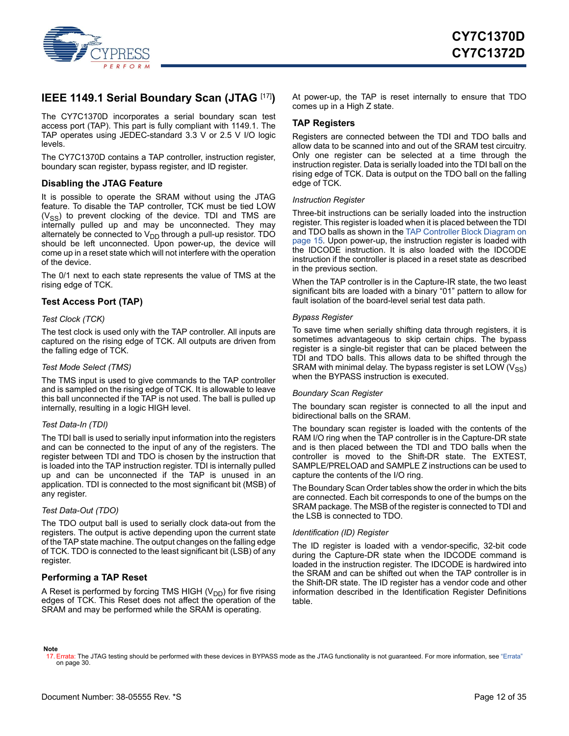

## <span id="page-11-0"></span>**IEEE 1149.1 Serial Boundary Scan (JTAG** [\[17](#page-11-5)]**)**

The CY7C1370D incorporates a serial boundary scan test access port (TAP). This part is fully compliant with 1149.1. The TAP operates using JEDEC-standard 3.3 V or 2.5 V I/O logic levels.

The CY7C1370D contains a TAP controller, instruction register, boundary scan register, bypass register, and ID register.

### <span id="page-11-1"></span>**Disabling the JTAG Feature**

It is possible to operate the SRAM without using the JTAG feature. To disable the TAP controller, TCK must be tied LOW  $(V_{SS})$  to prevent clocking of the device. TDI and TMS are internally pulled up and may be unconnected. They may alternately be connected to  $V_{DD}$  through a pull-up resistor. TDO should be left unconnected. Upon power-up, the device will come up in a reset state which will not interfere with the operation of the device.

The 0/1 next to each state represents the value of TMS at the rising edge of TCK.

### <span id="page-11-2"></span>**Test Access Port (TAP)**

### *Test Clock (TCK)*

The test clock is used only with the TAP controller. All inputs are captured on the rising edge of TCK. All outputs are driven from the falling edge of TCK.

### *Test Mode Select (TMS)*

The TMS input is used to give commands to the TAP controller and is sampled on the rising edge of TCK. It is allowable to leave this ball unconnected if the TAP is not used. The ball is pulled up internally, resulting in a logic HIGH level.

#### *Test Data-In (TDI)*

The TDI ball is used to serially input information into the registers and can be connected to the input of any of the registers. The register between TDI and TDO is chosen by the instruction that is loaded into the TAP instruction register. TDI is internally pulled up and can be unconnected if the TAP is unused in an application. TDI is connected to the most significant bit (MSB) of any register.

### *Test Data-Out (TDO)*

The TDO output ball is used to serially clock data-out from the registers. The output is active depending upon the current state of the TAP state machine. The output changes on the falling edge of TCK. TDO is connected to the least significant bit (LSB) of any register.

### <span id="page-11-3"></span>**Performing a TAP Reset**

A Reset is performed by forcing TMS HIGH  $(V_{DD})$  for five rising edges of TCK. This Reset does not affect the operation of the SRAM and may be performed while the SRAM is operating.

At power-up, the TAP is reset internally to ensure that TDO comes up in a High Z state.

### <span id="page-11-4"></span>**TAP Registers**

Registers are connected between the TDI and TDO balls and allow data to be scanned into and out of the SRAM test circuitry. Only one register can be selected at a time through the instruction register. Data is serially loaded into the TDI ball on the rising edge of TCK. Data is output on the TDO ball on the falling edge of TCK.

### *Instruction Register*

Three-bit instructions can be serially loaded into the instruction register. This register is loaded when it is placed between the TDI and TDO balls as shown in the [TAP Controller Block Diagram on](#page-14-0) [page 15](#page-14-0). Upon power-up, the instruction register is loaded with the IDCODE instruction. It is also loaded with the IDCODE instruction if the controller is placed in a reset state as described in the previous section.

When the TAP controller is in the Capture-IR state, the two least significant bits are loaded with a binary "01" pattern to allow for fault isolation of the board-level serial test data path.

### *Bypass Register*

To save time when serially shifting data through registers, it is sometimes advantageous to skip certain chips. The bypass register is a single-bit register that can be placed between the TDI and TDO balls. This allows data to be shifted through the SRAM with minimal delay. The bypass register is set LOW  $(V_{SS})$ when the BYPASS instruction is executed.

### *Boundary Scan Register*

The boundary scan register is connected to all the input and bidirectional balls on the SRAM.

The boundary scan register is loaded with the contents of the RAM I/O ring when the TAP controller is in the Capture-DR state and is then placed between the TDI and TDO balls when the controller is moved to the Shift-DR state. The EXTEST, SAMPLE/PRELOAD and SAMPLE Z instructions can be used to capture the contents of the I/O ring.

The Boundary Scan Order tables show the order in which the bits are connected. Each bit corresponds to one of the bumps on the SRAM package. The MSB of the register is connected to TDI and the LSB is connected to TDO.

### *Identification (ID) Register*

The ID register is loaded with a vendor-specific, 32-bit code during the Capture-DR state when the IDCODE command is loaded in the instruction register. The IDCODE is hardwired into the SRAM and can be shifted out when the TAP controller is in the Shift-DR state. The ID register has a vendor code and other information described in the Identification Register Definitions table.

#### **Note**

<span id="page-11-5"></span><sup>17.</sup> Errata: The JTAG testing should be performed with these devices in BYPASS mode as the JTAG functionality is not guaranteed. For more information, see ["Errata"](#page-29-0)  [on page 30.](#page-29-0)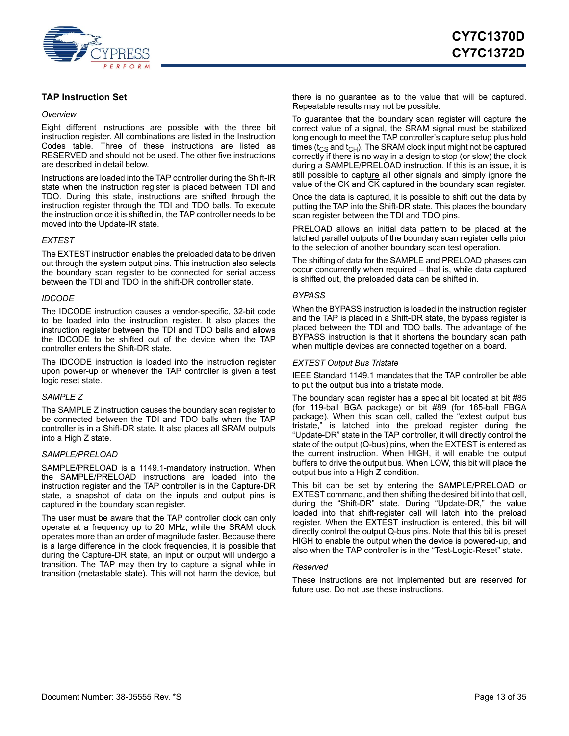

### <span id="page-12-0"></span>**TAP Instruction Set**

### <span id="page-12-2"></span>*Overview*

Eight different instructions are possible with the three bit instruction register. All combinations are listed in the Instruction Codes table. Three of these instructions are listed as RESERVED and should not be used. The other five instructions are described in detail below.

Instructions are loaded into the TAP controller during the Shift-IR state when the instruction register is placed between TDI and TDO. During this state, instructions are shifted through the instruction register through the TDI and TDO balls. To execute the instruction once it is shifted in, the TAP controller needs to be moved into the Update-IR state.

### <span id="page-12-3"></span>*EXTEST*

The EXTEST instruction enables the preloaded data to be driven out through the system output pins. This instruction also selects the boundary scan register to be connected for serial access between the TDI and TDO in the shift-DR controller state.

### *IDCODE*

The IDCODE instruction causes a vendor-specific, 32-bit code to be loaded into the instruction register. It also places the instruction register between the TDI and TDO balls and allows the IDCODE to be shifted out of the device when the TAP controller enters the Shift-DR state.

The IDCODE instruction is loaded into the instruction register upon power-up or whenever the TAP controller is given a test logic reset state.

### *SAMPLE Z*

The SAMPLE Z instruction causes the boundary scan register to be connected between the TDI and TDO balls when the TAP controller is in a Shift-DR state. It also places all SRAM outputs into a High Z state.

### *SAMPLE/PRELOAD*

SAMPLE/PRELOAD is a 1149.1-mandatory instruction. When the SAMPLE/PRELOAD instructions are loaded into the instruction register and the TAP controller is in the Capture-DR state, a snapshot of data on the inputs and output pins is captured in the boundary scan register.

The user must be aware that the TAP controller clock can only operate at a frequency up to 20 MHz, while the SRAM clock operates more than an order of magnitude faster. Because there is a large difference in the clock frequencies, it is possible that during the Capture-DR state, an input or output will undergo a transition. The TAP may then try to capture a signal while in transition (metastable state). This will not harm the device, but

there is no guarantee as to the value that will be captured. Repeatable results may not be possible.

To guarantee that the boundary scan register will capture the correct value of a signal, the SRAM signal must be stabilized long enough to meet the TAP controller's capture setup plus hold times ( $t_{CS}$  and  $t_{CH}$ ). The SRAM clock input might not be captured correctly if there is no way in a design to stop (or slow) the clock during a SAMPLE/PRELOAD instruction. If this is an issue, it is still possible to capture all other signals and simply ignore the value of the CK and CK captured in the boundary scan register.

Once the data is captured, it is possible to shift out the data by putting the TAP into the Shift-DR state. This places the boundary scan register between the TDI and TDO pins.

PRELOAD allows an initial data pattern to be placed at the latched parallel outputs of the boundary scan register cells prior to the selection of another boundary scan test operation.

The shifting of data for the SAMPLE and PRELOAD phases can occur concurrently when required – that is, while data captured is shifted out, the preloaded data can be shifted in.

### *BYPASS*

When the BYPASS instruction is loaded in the instruction register and the TAP is placed in a Shift-DR state, the bypass register is placed between the TDI and TDO balls. The advantage of the BYPASS instruction is that it shortens the boundary scan path when multiple devices are connected together on a board.

### <span id="page-12-1"></span>*EXTEST Output Bus Tristate*

IEEE Standard 1149.1 mandates that the TAP controller be able to put the output bus into a tristate mode.

The boundary scan register has a special bit located at bit #85 (for 119-ball BGA package) or bit #89 (for 165-ball FBGA package). When this scan cell, called the "extest output bus tristate," is latched into the preload register during the "Update-DR" state in the TAP controller, it will directly control the state of the output (Q-bus) pins, when the EXTEST is entered as the current instruction. When HIGH, it will enable the output buffers to drive the output bus. When LOW, this bit will place the output bus into a High Z condition.

This bit can be set by entering the SAMPLE/PRELOAD or EXTEST command, and then shifting the desired bit into that cell, during the "Shift-DR" state. During "Update-DR," the value loaded into that shift-register cell will latch into the preload register. When the EXTEST instruction is entered, this bit will directly control the output Q-bus pins. Note that this bit is preset HIGH to enable the output when the device is powered-up, and also when the TAP controller is in the "Test-Logic-Reset" state.

#### *Reserved*

These instructions are not implemented but are reserved for future use. Do not use these instructions.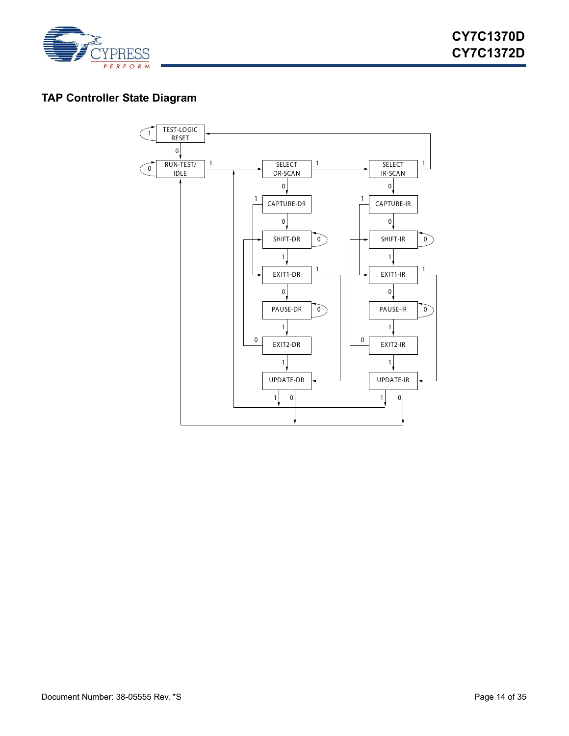

## <span id="page-13-0"></span>**TAP Controller State Diagram**

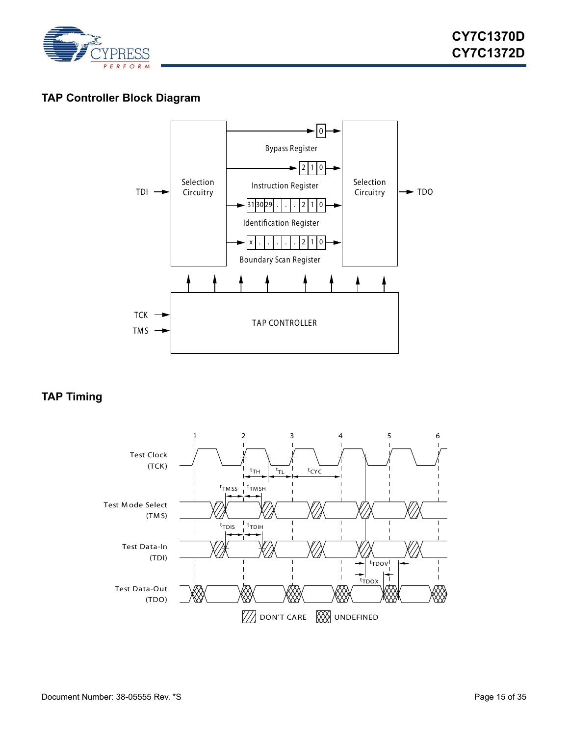

## <span id="page-14-0"></span>**TAP Controller Block Diagram**



## <span id="page-14-1"></span>**TAP Timing**

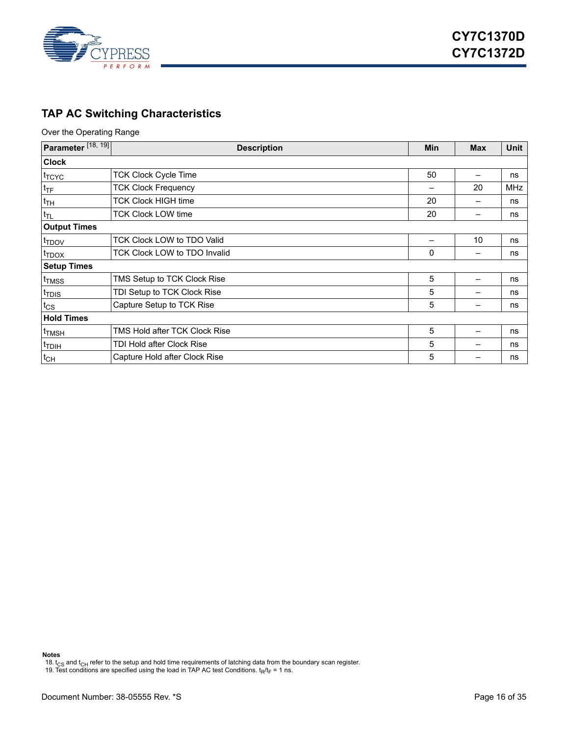

## <span id="page-15-0"></span>**TAP AC Switching Characteristics**

Over the Operating Range

| Parameter <sup>[18, 19]</sup> | <b>Description</b>                  | Min | <b>Max</b> | <b>Unit</b> |  |  |
|-------------------------------|-------------------------------------|-----|------------|-------------|--|--|
| <b>Clock</b>                  |                                     |     |            |             |  |  |
| t <sub>TCYC</sub>             | <b>TCK Clock Cycle Time</b>         | 50  |            | ns          |  |  |
| $t_{\text{TF}}$               | <b>TCK Clock Frequency</b>          |     | 20         | <b>MHz</b>  |  |  |
| $ t_{TH} $                    | <b>TCK Clock HIGH time</b>          | 20  |            | ns          |  |  |
| $ t_{TL}$                     | <b>TCK Clock LOW time</b>           | 20  | -          | ns          |  |  |
| <b>Output Times</b>           |                                     |     |            |             |  |  |
| t <sub>TDOV</sub>             | TCK Clock LOW to TDO Valid          |     | 10         | ns          |  |  |
| $t_{\text{TDOX}}$             | <b>TCK Clock LOW to TDO Invalid</b> | 0   |            | ns          |  |  |
| <b>Setup Times</b>            |                                     |     |            |             |  |  |
| t <sub>TMSS</sub>             | TMS Setup to TCK Clock Rise         | 5   |            | ns          |  |  |
| t <sub>TDIS</sub>             | TDI Setup to TCK Clock Rise         | 5   |            | ns          |  |  |
| $t_{CS}$                      | Capture Setup to TCK Rise           | 5   |            | ns          |  |  |
| <b>Hold Times</b>             |                                     |     |            |             |  |  |
| t <sub>TMSH</sub>             | TMS Hold after TCK Clock Rise       | 5   |            | ns          |  |  |
| t <sub>TDIH</sub>             | TDI Hold after Clock Rise           | 5   |            | ns          |  |  |
| $t_{CH}$                      | Capture Hold after Clock Rise       | 5   |            | ns          |  |  |

**Notes**

<span id="page-15-1"></span>18.  $t_{CS}$  and  $t_{CH}$  refer to the setup and hold time requirements of latching data from the boundary scan register.

<span id="page-15-2"></span>19. Test conditions are specified using the load in TAP AC test Conditions.  $t_R/t_F = 1$  ns.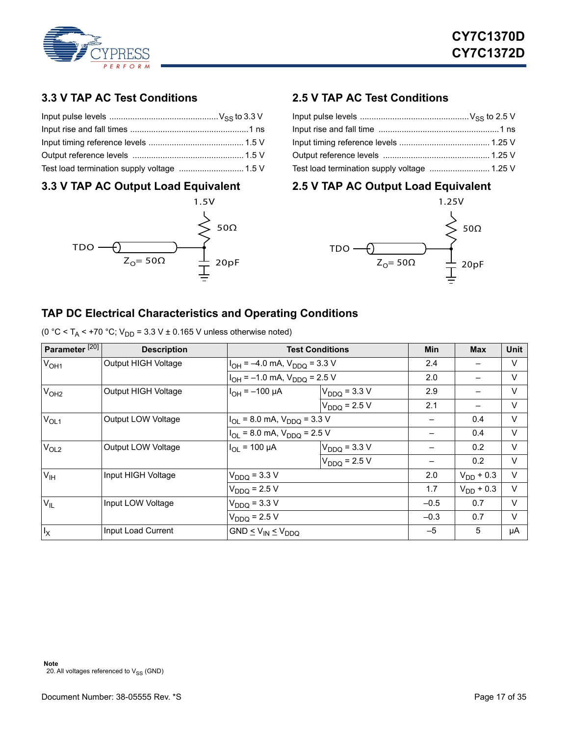

## <span id="page-16-0"></span>**3.3 V TAP AC Test Conditions**

| Test load termination supply voltage  1.5 V |  |
|---------------------------------------------|--|

## <span id="page-16-1"></span>**3.3 V TAP AC Output Load Equivalent**



## <span id="page-16-2"></span>**2.5 V TAP AC Test Conditions**

| Test load termination supply voltage  1.25 V |  |
|----------------------------------------------|--|

## <span id="page-16-3"></span>**2.5 V TAP AC Output Load Equivalent**



## <span id="page-16-4"></span>**TAP DC Electrical Characteristics and Operating Conditions**

|  | (0 °C < T <sub>A</sub> < +70 °C; V <sub>DD</sub> = 3.3 V ± 0.165 V unless otherwise noted) |  |
|--|--------------------------------------------------------------------------------------------|--|
|--|--------------------------------------------------------------------------------------------|--|

<span id="page-16-5"></span>

| Parameter <sup>[20]</sup> | <b>Description</b>  | <b>Test Conditions</b>                |                   | <b>Min</b> | <b>Max</b>     | Unit   |
|---------------------------|---------------------|---------------------------------------|-------------------|------------|----------------|--------|
| V <sub>OH1</sub>          | Output HIGH Voltage | $I_{OH} = -4.0$ mA, $V_{DDQ} = 3.3$ V |                   | 2.4        |                | $\vee$ |
|                           |                     | $I_{OH} = -1.0$ mA, $V_{DDO} = 2.5$ V |                   | 2.0        |                | $\vee$ |
| V <sub>OH2</sub>          | Output HIGH Voltage | $I_{OH} = -100 \mu A$                 | $V_{DDO} = 3.3 V$ | 2.9        |                | $\vee$ |
|                           |                     |                                       | $V_{DDQ} = 2.5 V$ | 2.1        | —              | $\vee$ |
| $V_{OL1}$                 | Output LOW Voltage  | $I_{OL}$ = 8.0 mA, $V_{DDQ}$ = 3.3 V  |                   |            | 0.4            | $\vee$ |
|                           |                     | $I_{OL}$ = 8.0 mA, $V_{DDO}$ = 2.5 V  |                   |            | 0.4            | $\vee$ |
| V <sub>OL2</sub>          | Output LOW Voltage  | $I_{\text{OI}}$ = 100 µA              | $V_{DDQ} = 3.3 V$ |            | 0.2            | $\vee$ |
|                           |                     |                                       | $V_{DDQ}$ = 2.5 V |            | 0.2            | $\vee$ |
| V <sub>IH</sub>           | Input HIGH Voltage  | $V_{DDQ} = 3.3 V$                     |                   | 2.0        | $V_{DD}$ + 0.3 | $\vee$ |
|                           |                     | $V_{DDQ}$ = 2.5 V                     |                   | 1.7        | $V_{DD}$ + 0.3 | $\vee$ |
| $V_{IL}$                  | Input LOW Voltage   | $V_{DDQ} = 3.3 V$                     |                   | $-0.5$     | 0.7            | $\vee$ |
|                           |                     | $V_{DDQ} = 2.5 V$                     |                   | $-0.3$     | 0.7            | $\vee$ |
| $I_X$                     | Input Load Current  | $GND \leq V_{IN} \leq V_{DDQ}$        |                   | $-5$       | 5              | μA     |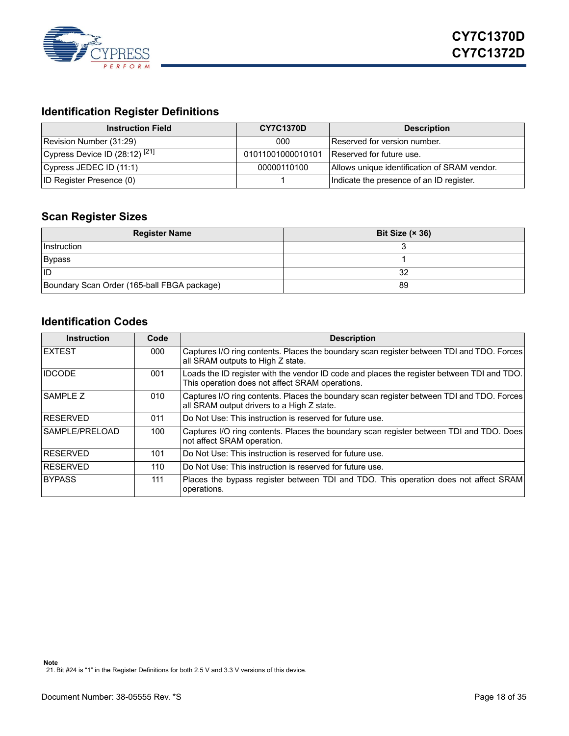

## <span id="page-17-3"></span><span id="page-17-0"></span>**Identification Register Definitions**

| <b>Instruction Field</b>                    | <b>CY7C1370D</b>  | <b>Description</b>                           |
|---------------------------------------------|-------------------|----------------------------------------------|
| Revision Number (31:29)                     | 000               | Reserved for version number.                 |
| Cypress Device ID $(28.12)$ <sup>[21]</sup> | 01011001000010101 | Reserved for future use.                     |
| Cypress JEDEC ID (11:1)                     | 00000110100       | Allows unique identification of SRAM vendor. |
| <b>ID Register Presence (0)</b>             |                   | Indicate the presence of an ID register.     |

## <span id="page-17-1"></span>**Scan Register Sizes**

| <b>Register Name</b>                        | Bit Size $(x 36)$ |
|---------------------------------------------|-------------------|
| Instruction                                 |                   |
| Bypass                                      |                   |
| lid                                         | 32                |
| Boundary Scan Order (165-ball FBGA package) | 89                |

## <span id="page-17-2"></span>**Identification Codes**

<span id="page-17-4"></span>

| <b>Instruction</b> | Code | <b>Description</b>                                                                                                                            |
|--------------------|------|-----------------------------------------------------------------------------------------------------------------------------------------------|
| <b>IEXTEST</b>     | 000  | Captures I/O ring contents. Places the boundary scan register between TDI and TDO. Forces<br>all SRAM outputs to High Z state.                |
| <b>IDCODE</b>      | 001  | Loads the ID register with the vendor ID code and places the register between TDI and TDO.<br>This operation does not affect SRAM operations. |
| <b>SAMPLE Z</b>    | 010  | Captures I/O ring contents. Places the boundary scan register between TDI and TDO. Forces<br>all SRAM output drivers to a High Z state.       |
| <b>RESERVED</b>    | 011  | Do Not Use: This instruction is reserved for future use.                                                                                      |
| ISAMPLE/PRELOAD    | 100  | Captures I/O ring contents. Places the boundary scan register between TDI and TDO. Does<br>not affect SRAM operation.                         |
| <b>RESERVED</b>    | 101  | Do Not Use: This instruction is reserved for future use.                                                                                      |
| <b>RESERVED</b>    | 110  | Do Not Use: This instruction is reserved for future use.                                                                                      |
| <b>BYPASS</b>      | 111  | Places the bypass register between TDI and TDO. This operation does not affect SRAM<br>operations.                                            |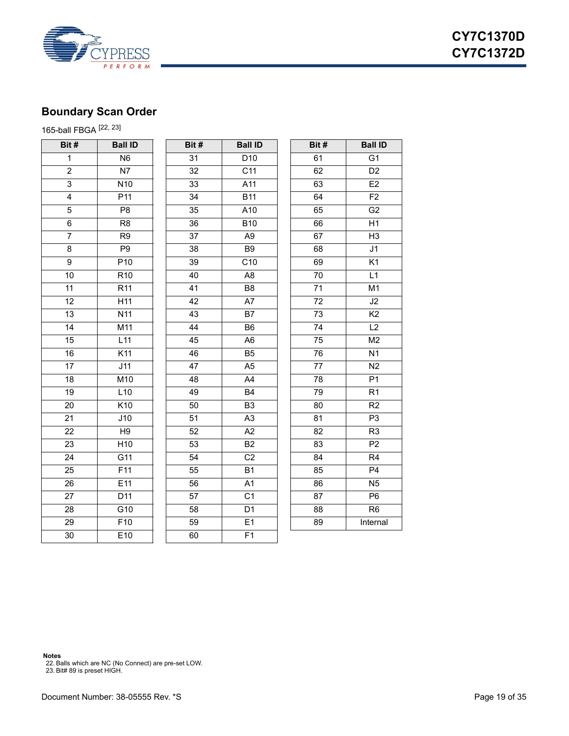

## <span id="page-18-0"></span>**Boundary Scan Order**

165-ball FBGA [\[22](#page-18-1), [23](#page-18-2)]

| Bit#            | <b>Ball ID</b>   | Bit#            | <b>Ball</b>      |
|-----------------|------------------|-----------------|------------------|
| 1               | N <sub>6</sub>   | 31              | D10              |
| $\overline{2}$  | N7               | 32              | C1               |
| 3               | N <sub>10</sub>  | 33              | A11              |
| 4               | P11              | 34              | <b>B11</b>       |
| 5               | P <sub>8</sub>   | 35              | $\overline{A10}$ |
| 6               | R <sub>8</sub>   | 36              | <b>B10</b>       |
| 7               | R <sub>9</sub>   | 37              | A <sub>9</sub>   |
| 8               | P <sub>9</sub>   | 38              | B <sub>9</sub>   |
| 9               | P <sub>10</sub>  | 39              | $\overline{C10}$ |
| 10              | R <sub>10</sub>  | 40              | A <sub>8</sub>   |
| 11              | R <sub>11</sub>  | 41              | B <sub>8</sub>   |
| 12              | H11              | 42              | $\overline{A7}$  |
| 13              | N <sub>11</sub>  | 43              | B7               |
| 14              | M11              | 44              | B <sub>6</sub>   |
| 15              | L11              | 45              | A <sub>6</sub>   |
| 16              | K11              | 46              | B <sub>5</sub>   |
| 17              | J11              | 47              | A <sub>5</sub>   |
| 18              | M10              | 48              | A4               |
| 19              | L10              | 49              | B <sub>4</sub>   |
| 20              | K10              | 50              | B <sub>3</sub>   |
| 21              | J10              | 51              | A <sub>3</sub>   |
| 22              | H <sub>9</sub>   | $\overline{52}$ | $\overline{A2}$  |
| 23              | H <sub>10</sub>  | 53              | B <sub>2</sub>   |
| $\overline{24}$ | G11              | 54              | C <sub>2</sub>   |
| 25              | $\overline{F11}$ | 55              | B <sub>1</sub>   |
| 26              | E <sub>11</sub>  | 56              | A <sub>1</sub>   |
| 27              | D11              | 57              | $\overline{C}$   |
| 28              | G10              | 58              | D <sub>1</sub>   |
| 29              | F10              | 59              | E1               |
| 30              | E10              | 60              | F <sub>1</sub>   |
|                 |                  |                 |                  |

| Bit#           | <b>Ball ID</b>   | Bit#            | <b>Ball ID</b>   | Bit#            | <b>Ball ID</b>  |
|----------------|------------------|-----------------|------------------|-----------------|-----------------|
| $\mathbf{1}$   | N <sub>6</sub>   | 31              | D <sub>10</sub>  | 61              | G <sub>1</sub>  |
| $\overline{2}$ | <b>N7</b>        | 32              | C11              | 62              | D <sub>2</sub>  |
| 3              | N <sub>10</sub>  | 33              | A11              | 63              | E <sub>2</sub>  |
| 4              | P <sub>11</sub>  | 34              | <b>B11</b>       | 64              | F2              |
| 5              | P <sub>8</sub>   | 35              | A10              | 65              | G <sub>2</sub>  |
| 6              | R <sub>8</sub>   | 36              | <b>B10</b>       | 66              | H1              |
| $\overline{7}$ | R <sub>9</sub>   | $\overline{37}$ | A <sub>9</sub>   | 67              | $\overline{H}$  |
| 8              | P <sub>9</sub>   | 38              | B <sub>9</sub>   | 68              | J <sub>1</sub>  |
| 9              | P10              | 39              | $\overline{C10}$ | 69              | $\overline{K1}$ |
| 10             | R <sub>10</sub>  | 40              | A <sub>8</sub>   | 70              | L1              |
| 11             | R <sub>11</sub>  | 41              | B <sub>8</sub>   | 71              | M <sub>1</sub>  |
| 12             | H11              | 42              | A7               | 72              | J2              |
| 13             | N <sub>11</sub>  | 43              | <b>B7</b>        | 73              | K <sub>2</sub>  |
| 14             | $\overline{M11}$ | 44              | B <sub>6</sub>   | 74              | $\overline{L2}$ |
| 15             | L11              | 45              | A <sub>6</sub>   | 75              | M <sub>2</sub>  |
| 16             | $\overline{K11}$ | 46              | B <sub>5</sub>   | 76              | N <sub>1</sub>  |
| 17             | J11              | 47              | A <sub>5</sub>   | $\overline{77}$ | N <sub>2</sub>  |
| 18             | M10              | 48              | A4               | 78              | $\overline{P1}$ |
| 19             | L10              | 49              | <b>B4</b>        | 79              | R <sub>1</sub>  |
| 20             | K10              | 50              | B <sub>3</sub>   | 80              | R <sub>2</sub>  |
| 21             | J10              | 51              | A <sub>3</sub>   | 81              | P <sub>3</sub>  |
| 22             | H <sub>9</sub>   | 52              | A2               | 82              | R <sub>3</sub>  |
| 23             | H10              | 53              | <b>B2</b>        | 83              | P <sub>2</sub>  |
| 24             | G11              | 54              | C <sub>2</sub>   | 84              | R4              |
| 25             | F11              | 55              | <b>B1</b>        | 85              | P4              |
| 26             | E11              | 56              | A <sub>1</sub>   | 86              | N <sub>5</sub>  |
| 27             | D11              | 57              | C <sub>1</sub>   | 87              | P <sub>6</sub>  |
| 28             | G10              | 58              | D <sub>1</sub>   | 88              | R <sub>6</sub>  |
| 29             | F10              | 59              | E1               | 89              | Internal        |
| 30             | E10              | 60              | F1               |                 |                 |

| Bit#            | <b>Ball ID</b>           |
|-----------------|--------------------------|
| 61              | G <sub>1</sub>           |
| 62              | $\overline{D2}$          |
| 63              | E2                       |
| 64              | $\overline{F2}$          |
| 65              | $\overline{G}2$          |
| 66              | $\overline{H1}$          |
| 67              | H <sub>3</sub>           |
| 68              | $\overline{J1}$          |
| $\overline{69}$ | $\overline{K}$ 1         |
| $\overline{70}$ | $\overline{L1}$          |
| $\overline{71}$ | $\overline{M1}$          |
| $\overline{72}$ | $\overline{J2}$          |
| $\overline{73}$ | K <sub>2</sub>           |
| 74              | $\overline{L2}$          |
| 75              | $\overline{\mathsf{M2}}$ |
| 76              | $\overline{N1}$          |
| $\overline{77}$ | $\overline{N2}$          |
| $\overline{78}$ | $\overline{P1}$          |
| $\overline{79}$ | $\overline{R1}$          |
| 80              | R <sub>2</sub>           |
| 81              | $\overline{P3}$          |
| 82              | R <sub>3</sub>           |
| $\overline{83}$ | $\overline{P2}$          |
| $\overline{84}$ | $\overline{R4}$          |
| 85              | $\overline{P4}$          |
| 86              | $\overline{N5}$          |
| 87              | $\overline{P6}$          |
| 88              | R <sub>6</sub>           |
| 89              | Internal                 |

**Notes**

<span id="page-18-1"></span>22. Balls which are NC (No Connect) are pre-set LOW. 23. Bit# 89 is preset HIGH.

<span id="page-18-2"></span>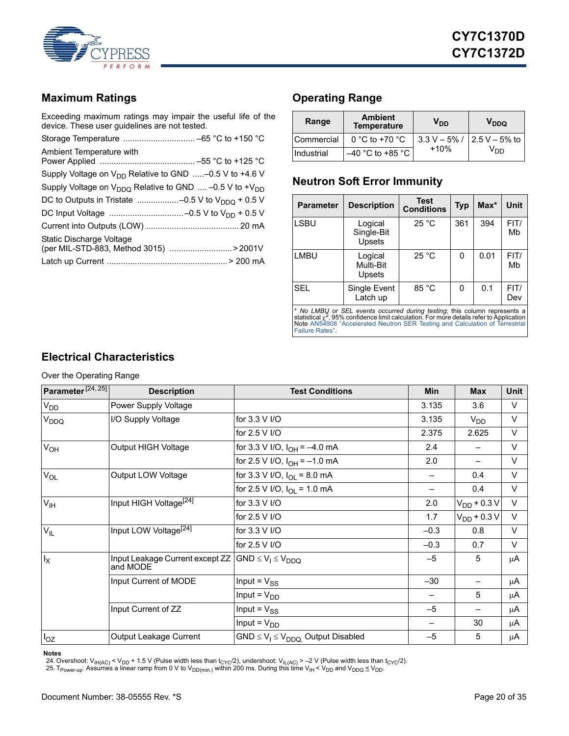

## <span id="page-19-0"></span>**Maximum Ratings**

Exceeding maximum ratings may impair the useful life of the device. These user guidelines are not tested.

| Supply Voltage on $V_{DD}$ Relative to GND -0.5 V to +4.6 V       |
|-------------------------------------------------------------------|
| Supply Voltage on $V_{DDO}$ Relative to GND  -0.5 V to + $V_{DD}$ |
|                                                                   |
|                                                                   |
|                                                                   |
| (per MIL-STD-883, Method 3015) > 2001V                            |
|                                                                   |

## <span id="page-19-1"></span>**Operating Range**

| Range             | <b>Ambient</b><br><b>Temperature</b> | V <sub>DD</sub> | V <sub>DDQ</sub>               |
|-------------------|--------------------------------------|-----------------|--------------------------------|
| <b>Commercial</b> | $0 °C$ to +70 $°C$                   |                 | $3.3 V - 5\% / 2.5 V - 5\%$ to |
| Industrial        | $-40$ °C to +85 °C                   | $+10%$          | V <sub>DD</sub>                |

## <span id="page-19-2"></span>**Neutron Soft Error Immunity**

| <b>Parameter</b> | <b>Description</b>                                                                                                                                                    | <b>Test</b><br><b>Conditions</b> | <b>Typ</b> | $Max^*$ | Unit        |  |  |
|------------------|-----------------------------------------------------------------------------------------------------------------------------------------------------------------------|----------------------------------|------------|---------|-------------|--|--|
| <b>LSBU</b>      | Logical<br>Single-Bit<br>Upsets                                                                                                                                       | 25 °C                            | 361        | 394     | FIT/<br>Mb  |  |  |
| <b>LMBU</b>      | Logical<br>Multi-Bit<br><b>Upsets</b>                                                                                                                                 | 25 °C                            | 0          | 0.01    | FIT/<br>Mb  |  |  |
| <b>SEL</b>       | Single Event<br>Latch up                                                                                                                                              | 85 °C                            | 0          | 0.1     | FIT/<br>Dev |  |  |
|                  | * No LMBU or SEL events occurred during testing; this column represents a<br>itatlatlari. 7. AEN. saadidaasee Kastteadasilatlaa Esonoaas datalla osfaata Amallaatlaa. |                                  |            |         |             |  |  |

\* *No LMBU or SEL events occurred during testing*; this column represents a<br>statistical <sub>X</sub>-[, 95% confidence limit calculation. For more details refer to Application](http://www.cypress.com/?rID=38369)<br>[Note A](http://www.cypress.com/?rID=38369)N54908 "Accelerated Neutron SER Testing and Calcul Failure Rates".

## <span id="page-19-3"></span>**Electrical Characteristics**

### Over the Operating Range

| Parameter <sup>[24, 25]</sup> | <b>Description</b>                                                     | <b>Test Conditions</b>                          | <b>Min</b> | <b>Max</b>       | Unit   |
|-------------------------------|------------------------------------------------------------------------|-------------------------------------------------|------------|------------------|--------|
| V <sub>DD</sub>               | Power Supply Voltage                                                   |                                                 | 3.135      | 3.6              | $\vee$ |
| V <sub>DDQ</sub>              | I/O Supply Voltage                                                     | for 3.3 V I/O                                   | 3.135      | $V_{DD}$         | $\vee$ |
|                               |                                                                        | for 2.5 V I/O                                   | 2.375      | 2.625            | $\vee$ |
| V <sub>OH</sub>               | Output HIGH Voltage                                                    | for 3.3 V I/O, $I_{OH} = -4.0$ mA               | 2.4        |                  | $\vee$ |
|                               |                                                                        | for 2.5 V I/O, $I_{OH} = -1.0$ mA               | 2.0        |                  | $\vee$ |
| $V_{OL}$                      | Output LOW Voltage                                                     | for 3.3 V I/O, $I_{OL} = 8.0$ mA                |            | 0.4              | $\vee$ |
|                               |                                                                        | for 2.5 V I/O, $I_{\text{OI}} = 1.0 \text{ mA}$ |            | 0.4              | $\vee$ |
| V <sub>IH</sub>               | Input HIGH Voltage <sup>[24]</sup>                                     | for 3.3 V I/O                                   | 2.0        | $V_{DD}$ + 0.3 V | $\vee$ |
|                               |                                                                        | for 2.5 V I/O                                   | 1.7        | $V_{DD}$ + 0.3 V | $\vee$ |
| $V_{IL}$                      | Input LOW Voltage <sup>[24]</sup>                                      | for 3.3 V I/O                                   | $-0.3$     | 0.8              | $\vee$ |
|                               |                                                                        | for 2.5 V I/O                                   | $-0.3$     | 0.7              | $\vee$ |
| $I_X$                         | Input Leakage Current except ZZ $ GND \le V_1 \le V_{DDO}$<br>and MODE |                                                 | $-5$       | 5                | μA     |
|                               | Input Current of MODE                                                  | Input = $V_{SS}$                                | $-30$      |                  | μA     |
|                               |                                                                        | Input = $V_{DD}$                                |            | 5                | μA     |
|                               | Input Current of ZZ                                                    | Input = $V_{SS}$                                | $-5$       |                  | μA     |
|                               |                                                                        | Input = $V_{DD}$                                |            | 30               | μA     |
| $I_{OZ}$                      | Output Leakage Current                                                 | $GND \leq V_1 \leq V_{DDQ}$ Output Disabled     | $-5$       | 5                | μA     |

#### **Notes**

<span id="page-19-4"></span>24. Overshoot: V<sub>IH(AC)</sub> < V<sub>DD</sub> + 1.5 V (Pulse width less than t<sub>CYC</sub>/2), undershoot: V<sub>IL(AC)</sub> > –2 V (Pulse width less than t<sub>CYC</sub>/2).<br>25. T<sub>Power-up</sub>: Assumes a linear ramp from 0 V to V<sub>DD(min.)</sub> within 200 ms. Durin

<span id="page-19-5"></span>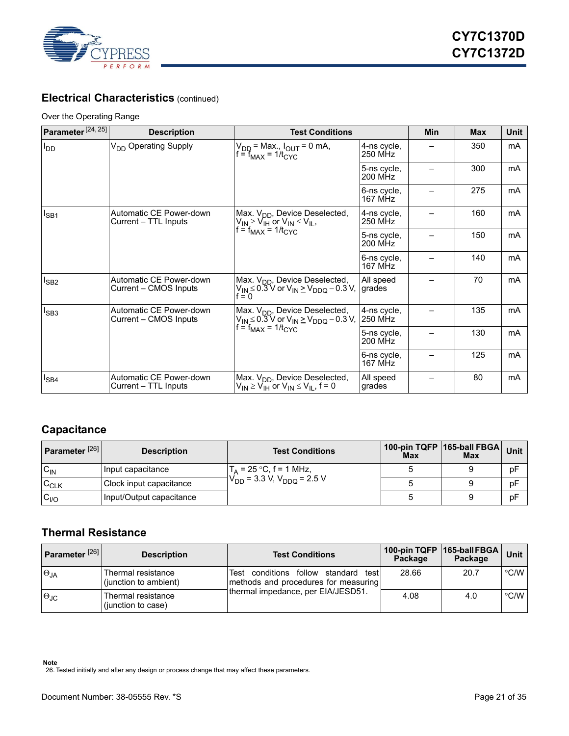

## **Electrical Characteristics** (continued)

### Over the Operating Range

| Parameter <sup>[24,25]</sup> | <b>Description</b>                               | <b>Test Conditions</b>                                                                                                                                  |                               | <b>Min</b> | <b>Max</b> | Unit |
|------------------------------|--------------------------------------------------|---------------------------------------------------------------------------------------------------------------------------------------------------------|-------------------------------|------------|------------|------|
| $I_{DD}$                     | V <sub>DD</sub> Operating Supply                 | $V_{DD}$ = Max., $I_{OUT}$ = 0 mA,<br>$f = f_{MAX} = 1/t_{CYC}$                                                                                         | 4-ns cycle,<br>250 MHz        |            | 350        | mA   |
|                              |                                                  |                                                                                                                                                         | 5-ns cycle,<br><b>200 MHz</b> |            | 300        | mA   |
|                              |                                                  |                                                                                                                                                         | 6-ns cycle,<br>167 MHz        |            | 275        | mA   |
| I <sub>SB1</sub>             | Automatic CE Power-down<br>Current - TTL Inputs  | Max. V <sub>DD</sub> , Device Deselected,<br>$V_{IN} \geq V_{IH}$ or $V_{IN} \leq V_{IL}$ ,                                                             | 4-ns cycle,<br>250 MHz        |            | 160        | mA   |
|                              |                                                  | $f = f_{MAX} = 1/t_{CYC}$                                                                                                                               | 5-ns cycle,<br><b>200 MHz</b> |            | 150        | mA   |
|                              |                                                  |                                                                                                                                                         | 6-ns cycle,<br><b>167 MHz</b> |            | 140        | mA   |
| $I_{SB2}$                    | Automatic CE Power-down<br>Current - CMOS Inputs | Max. V <sub>DD</sub> , Device Deselected,<br>$V_{\mathsf{IN}}$ $\leq$ 0.3 V or V <sub>IN</sub> $\geq$ V <sub>DDQ</sub> – 0.3 V,  grades<br>f = 0        | All speed                     |            | 70         | mA   |
| $I_{SB3}$                    | Automatic CE Power-down<br>Current - CMOS Inputs | Max. V <sub>DD</sub> , Device Deselected,<br>V <sub>IN</sub> ≤ 0.3 V or V <sub>IN</sub> ≥ V <sub>DDO</sub> – 0.3 V,  250 MHz<br>$= f_{MAX} = 1/t_{CYC}$ | 4-ns cycle,                   |            | 135        | mA   |
|                              |                                                  |                                                                                                                                                         | 5-ns cycle,<br>200 MHz        |            | 130        | mA   |
|                              |                                                  |                                                                                                                                                         | 6-ns cvcle,<br><b>167 MHz</b> |            | 125        | mA   |
| $I_{SB4}$                    | Automatic CE Power-down<br>Current – TTL Inputs  | Max. V <sub>DD</sub> , Device Deselected,<br>$V_{IN} \geq V_{IH}$ or $V_{IN} \leq V_{II}$ , f = 0                                                       | All speed<br>grades           |            | 80         | mA   |

## <span id="page-20-0"></span>**Capacitance**

| Parameter <sup>[26]</sup> | <b>Description</b>       | <b>Test Conditions</b>              | <b>Max</b> | $\sim$   100-pin TQFP   165-ball FBGA   Unit $^{\prime}$<br><b>Max</b> |    |
|---------------------------|--------------------------|-------------------------------------|------------|------------------------------------------------------------------------|----|
| $C_{\text{IN}}$           | Input capacitance        | $T_A$ = 25 °C, f = 1 MHz,           |            |                                                                        | pF |
| $C_{CLK}$                 | Clock input capacitance  | $V_{DD}$ = 3.3 V, $V_{DDO}$ = 2.5 V |            |                                                                        | pF |
| C <sub>I/O</sub>          | Input/Output capacitance |                                     |            |                                                                        | pF |

## <span id="page-20-1"></span>**Thermal Resistance**

| Parameter $[26]$ | <b>Description</b>                          | <b>Test Conditions</b>                                                           | Package | 100-pin TQFP 165-ball FBGA<br>Package | <b>Unit</b>      |
|------------------|---------------------------------------------|----------------------------------------------------------------------------------|---------|---------------------------------------|------------------|
| $\Theta_{JA}$    | Thermal resistance<br>(junction to ambient) | Test conditions follow standard<br>testl<br>methods and procedures for measuring | 28.66   | 20.7                                  | $^{\circ}$ C/W I |
| $\Theta$ JC      | Thermal resistance<br>(junction to case)    | thermal impedance, per EIA/JESD51.                                               | 4.08    | 4.0                                   | $\degree$ C/W    |

**Note**

<span id="page-20-2"></span><sup>26.</sup> Tested initially and after any design or process change that may affect these parameters.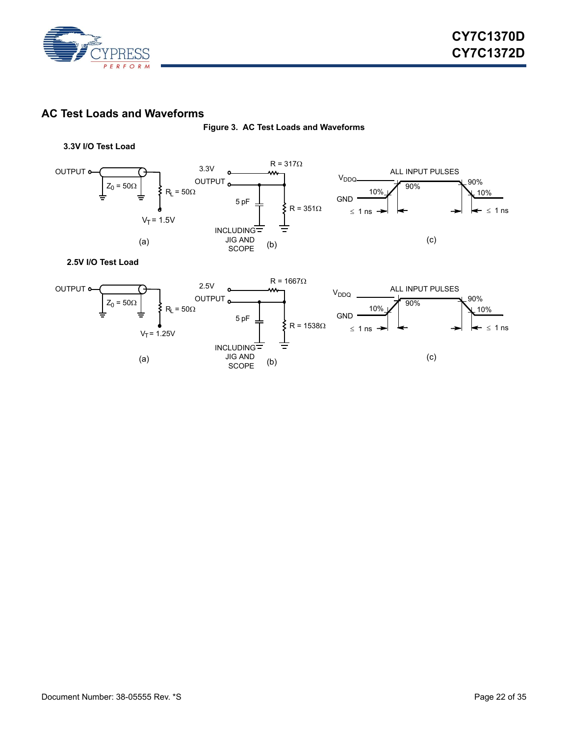

## <span id="page-21-1"></span><span id="page-21-0"></span>**AC Test Loads and Waveforms**



### **3.3V I/O Test Load**



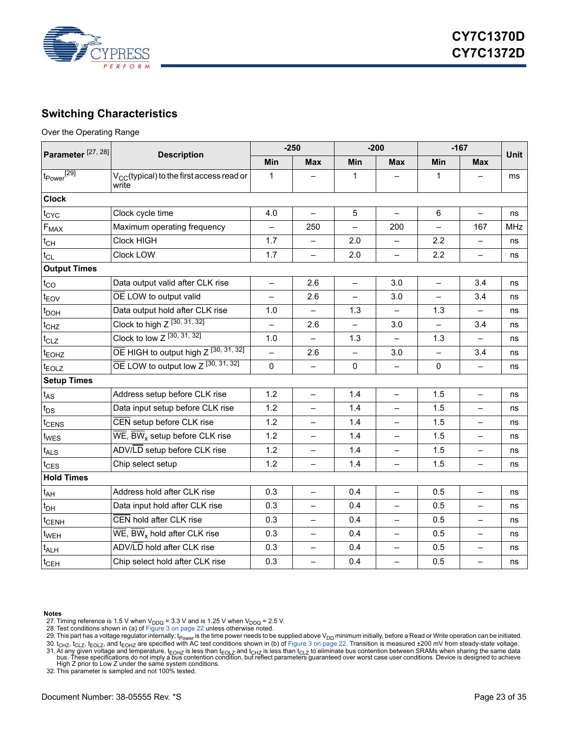

## <span id="page-22-0"></span>**Switching Characteristics**

### Over the Operating Range

| Parameter <sup>[27, 28]</sup> | <b>Description</b>                                                               | $-200$<br>$-250$         |                          |                          | $-167$                   |                          | Unit                     |            |
|-------------------------------|----------------------------------------------------------------------------------|--------------------------|--------------------------|--------------------------|--------------------------|--------------------------|--------------------------|------------|
|                               |                                                                                  | Min                      | <b>Max</b>               | Min                      | <b>Max</b>               | Min                      | <b>Max</b>               |            |
| $t_{Power}^{[29]}$            | $V_{CC}$ (typical) to the first access read or<br>write                          | $\mathbf{1}$             |                          | 1                        |                          | 1                        |                          | ms         |
| <b>Clock</b>                  |                                                                                  |                          |                          |                          |                          |                          |                          |            |
| t <sub>CYC</sub>              | Clock cycle time                                                                 | 4.0                      | $\equiv$                 | 5                        | $\overline{a}$           | 6                        | $\overline{a}$           | ns         |
| $F_{\text{MAX}}$              | Maximum operating frequency                                                      |                          | 250                      |                          | 200                      |                          | 167                      | <b>MHz</b> |
| $t_{CH}$                      | <b>Clock HIGH</b>                                                                | 1.7                      |                          | 2.0                      | $\qquad \qquad -$        | 2.2                      | $\qquad \qquad -$        | ns         |
| $t_{CL}$                      | Clock LOW                                                                        | 1.7                      |                          | 2.0                      |                          | 2.2                      | $\overline{\phantom{0}}$ | ns         |
| <b>Output Times</b>           |                                                                                  |                          |                          |                          |                          |                          |                          |            |
| $t_{CO}$                      | Data output valid after CLK rise                                                 | $\overline{\phantom{0}}$ | 2.6                      | $\overline{\phantom{0}}$ | 3.0                      | $\qquad \qquad -$        | 3.4                      | ns         |
| $t_{EOV}$                     | OE LOW to output valid                                                           | $\overline{a}$           | 2.6                      |                          | 3.0                      | $\overline{\phantom{0}}$ | 3.4                      | ns         |
| $t_{\text{DOH}}$              | Data output hold after CLK rise                                                  | 1.0                      | $\equiv$                 | 1.3                      | $\qquad \qquad -$        | 1.3                      | $\overline{\phantom{0}}$ | ns         |
| $t_{CHZ}$                     | Clock to high Z [30, 31, 32]                                                     | $\overline{\phantom{0}}$ | 2.6                      |                          | 3.0                      |                          | 3.4                      | ns         |
| $t_{CLZ}$                     | Clock to low Z [30, 31, 32]                                                      | 1.0                      |                          | 1.3                      | $\overline{\phantom{0}}$ | 1.3                      | $\qquad \qquad -$        | ns         |
| t <sub>EOHZ</sub>             | $\overline{OE}$ HIGH to output high $Z^{[30, 31, 32]}$                           |                          | 2.6                      |                          | 3.0                      |                          | 3.4                      | ns         |
| t <sub>EOLZ</sub>             | $\overline{OE}$ LOW to output low $Z^{[30, 31, 32]}$                             | 0                        | $\overline{\phantom{0}}$ | 0                        | $\overline{\phantom{0}}$ | 0                        | $\qquad \qquad -$        | ns         |
| <b>Setup Times</b>            |                                                                                  |                          |                          |                          |                          |                          |                          |            |
| $t_{AS}$                      | Address setup before CLK rise                                                    | 1.2                      | $\qquad \qquad -$        | 1.4                      | $\overline{\phantom{0}}$ | 1.5                      | $\overline{\phantom{0}}$ | ns         |
| $t_{DS}$                      | Data input setup before CLK rise                                                 | 1.2                      | $\overline{\phantom{0}}$ | 1.4                      | $\equiv$                 | 1.5                      | $\overline{\phantom{0}}$ | ns         |
| t <sub>CENS</sub>             | CEN setup before CLK rise                                                        | 1.2                      |                          | 1.4                      |                          | 1.5                      | $\overline{\phantom{0}}$ | ns         |
| t <sub>WES</sub>              | $\overline{\text{WE}}$ , $\overline{\text{BW}}_{\text{x}}$ setup before CLK rise | 1.2                      | $\equiv$                 | 1.4                      | $\overline{\phantom{0}}$ | 1.5                      | $\qquad \qquad -$        | ns         |
| $t_{\text{ALS}}$              | ADV/LD setup before CLK rise                                                     | 1.2                      |                          | 1.4                      |                          | 1.5                      |                          | ns         |
| $t_{\text{CES}}$              | Chip select setup                                                                | 1.2                      | $\qquad \qquad -$        | 1.4                      | $\overline{\phantom{0}}$ | 1.5                      | $\qquad \qquad -$        | ns         |
| <b>Hold Times</b>             |                                                                                  |                          |                          |                          |                          |                          |                          |            |
| $t_{AH}$                      | Address hold after CLK rise                                                      | 0.3                      |                          | 0.4                      | $\equiv$                 | 0.5                      | $\overline{\phantom{0}}$ | ns         |
| $t_{DH}$                      | Data input hold after CLK rise                                                   | 0.3                      | $\qquad \qquad -$        | 0.4                      | $\overline{\phantom{0}}$ | 0.5                      | $\overline{\phantom{0}}$ | ns         |
| t <sub>CENH</sub>             | CEN hold after CLK rise                                                          | 0.3                      |                          | 0.4                      | $\overline{\phantom{0}}$ | 0.5                      | $\overline{\phantom{0}}$ | ns         |
| t <sub>WEH</sub>              | $\overline{\text{WE}}$ , $\overline{\text{BW}}_{\text{x}}$ hold after CLK rise   | 0.3                      | $\qquad \qquad -$        | 0.4                      | $\overline{\phantom{0}}$ | 0.5                      | $\qquad \qquad -$        | ns         |
| $t_{\text{ALH}}$              | ADV/LD hold after CLK rise                                                       | 0.3                      |                          | 0.4                      |                          | 0.5                      | $\overline{a}$           | ns         |
| $t_{\text{CEH}}$              | Chip select hold after CLK rise                                                  | 0.3                      |                          | 0.4                      |                          | 0.5                      | $\overline{\phantom{0}}$ | ns         |

#### **Notes**

<span id="page-22-1"></span>

<span id="page-22-2"></span>

<span id="page-22-5"></span><span id="page-22-4"></span><span id="page-22-3"></span>

27. Timing reference is 1.5 V when V<sub>DDQ</sub> = 3.3 V and is 1.25 V when V<sub>DDQ</sub> = 2.5 V.<br>28. Test conditions shown in (a) of [Figure 3 on page 22](#page-21-1) unless otherwise noted.<br>29. This part has a voltage regulator internally; t<sub>Powe</sub> High Z prior to Low Z under the same system conditions.

<span id="page-22-6"></span>32. This parameter is sampled and not 100% tested.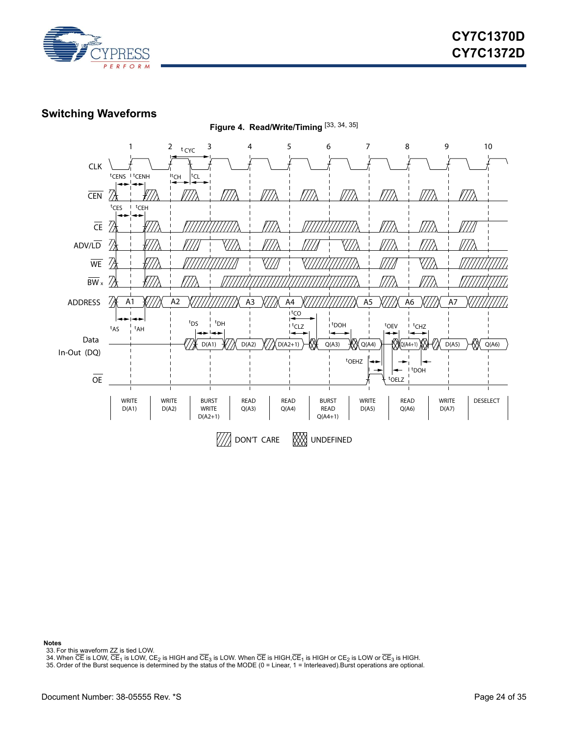

## <span id="page-23-0"></span>**Switching Waveforms**



**Notes**

<span id="page-23-1"></span>33. For this waveform ZZ is tied LOW.

<span id="page-23-2"></span>34. When CE is LOW, CE<sub>1</sub> is LOW, CE<sub>2</sub> is HIGH and CE<sub>3</sub> is LOW. When CE is HIGH,CE<sub>1</sub> is HIGH or CE<sub>2</sub> is LOW or CE<sub>3</sub> is HIGH.

<span id="page-23-3"></span>35. Order of the Burst sequence is determined by the status of the MODE (0 = Linear, 1 = Interleaved).Burst operations are optional.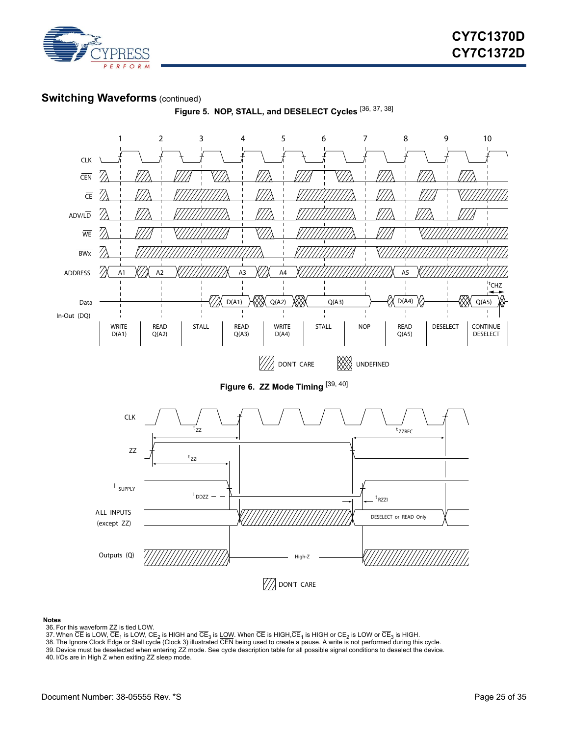

### **Switching Waveforms** (continued)



- <span id="page-24-0"></span>36. For this waveform ZZ is tied LOW.
- <span id="page-24-1"></span>37. When CE is LOW, CE<sub>1</sub> is LOW, CE<sub>2</sub> is HIGH and CE<sub>3</sub> is <u>LOW</u>. When CE is HIGH,CE<sub>1</sub> is HIGH or CE<sub>2</sub> is LOW or CE<sub>3</sub> is HIGH.
- <span id="page-24-2"></span>38. The Ignore Clock Edge or Stall cycle (Clock 3) illustrated CEN being used to create a pause. A write is not performed during this cycle.
- <span id="page-24-3"></span>39. Device must be deselected when entering ZZ mode. See cycle description table for all possible signal conditions to deselect the device.

<span id="page-24-4"></span>40. I/Os are in High Z when exiting ZZ sleep mode.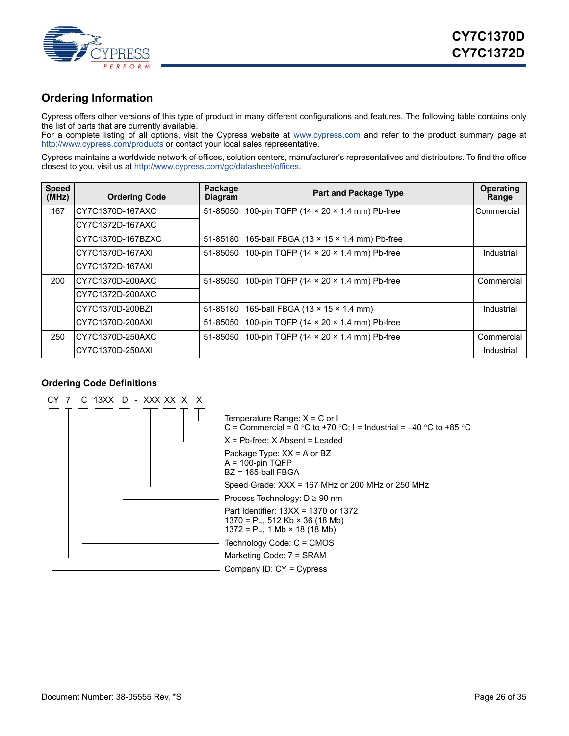

## <span id="page-25-0"></span>**Ordering Information**

Cypress offers other versions of this type of product in many different configurations and features. The following table contains only the list of parts that are currently available.

[For a complete listing of all options, visit the Cypress website at](www.cypress.com) www.cypress.com and refer to the product summary page at <http://www.cypress.com/products>or contact your local sales representative.

[Cypress maintains a worldwide network of offices, solution centers, manufacturer's representatives and distributors. To find the office](http://www.cypress.com/go/datasheet/offices) [closest to you, visit us at h](http://www.cypress.com/go/datasheet/offices)ttp://www.cypress.com/go/datasheet/offices.

| <b>Speed</b><br>(MHz) | <b>Ordering Code</b> | Package<br><b>Diagram</b> | <b>Part and Package Type</b>                              | <b>Operating</b><br>Range |
|-----------------------|----------------------|---------------------------|-----------------------------------------------------------|---------------------------|
| 167                   | CY7C1370D-167AXC     | 51-85050                  | 100-pin TQFP (14 × 20 × 1.4 mm) Pb-free                   | Commercial                |
|                       | CY7C1372D-167AXC     |                           |                                                           |                           |
|                       | CY7C1370D-167BZXC    |                           | 51-85180   165-ball FBGA (13 x 15 x 1.4 mm) Pb-free       |                           |
|                       | CY7C1370D-167AXI     | 51-85050                  | 100-pin TQFP (14 × 20 × 1.4 mm) Pb-free                   | Industrial                |
|                       | CY7C1372D-167AXI     |                           |                                                           |                           |
| 200                   | CY7C1370D-200AXC     |                           | 51-85050 100-pin TQFP (14 x 20 x 1.4 mm) Pb-free          | Commercial                |
|                       | CY7C1372D-200AXC     |                           |                                                           |                           |
|                       | CY7C1370D-200BZI     |                           | 51-85180   165-ball FBGA (13 $\times$ 15 $\times$ 1.4 mm) | Industrial                |
|                       | CY7C1370D-200AXI     | 51-85050                  | 100-pin TQFP (14 × 20 × 1.4 mm) Pb-free                   |                           |
| 250                   | CY7C1370D-250AXC     | 51-85050                  | 100-pin TQFP (14 $\times$ 20 $\times$ 1.4 mm) Pb-free     | Commercial                |
|                       | CY7C1370D-250AXI     |                           |                                                           | Industrial                |

### <span id="page-25-1"></span>**Ordering Code Definitions**

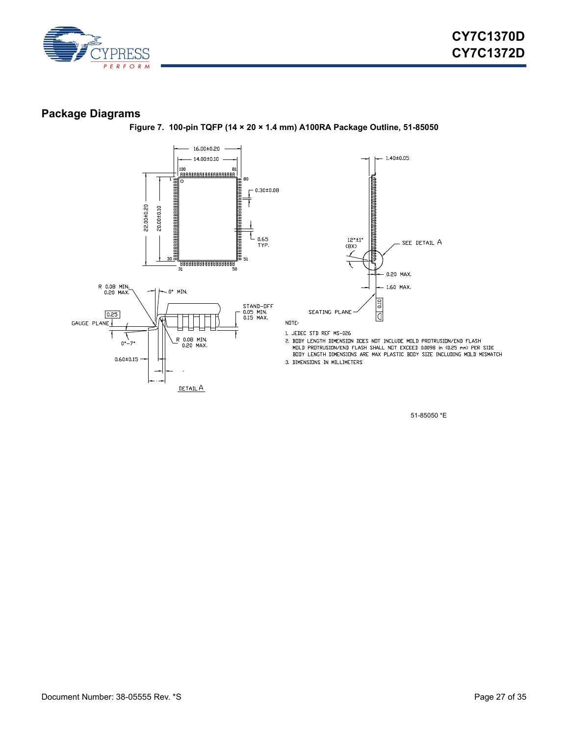

### <span id="page-26-0"></span>**Package Diagrams**

**Figure 7. 100-pin TQFP (14 × 20 × 1.4 mm) A100RA Package Outline, 51-85050**





1. JEDEC STD REF MS-026

2. BODY LENGTH DIMENSION DDES NOT INCLUDE MOLD PROTRUSION/END FLASH<br>MOLD PROTRUSION/END FLASH SHALL NOT EXCEED 0.0098 in (0.25 mm) PER SIDE<br>BODY LENGTH DIMENSIONS ARE MAX PLASTIC BODY SIZE INCLUDING MOLD MISMATCH

3. DIMENSIONS IN MILLIMETERS

51-85050 \*E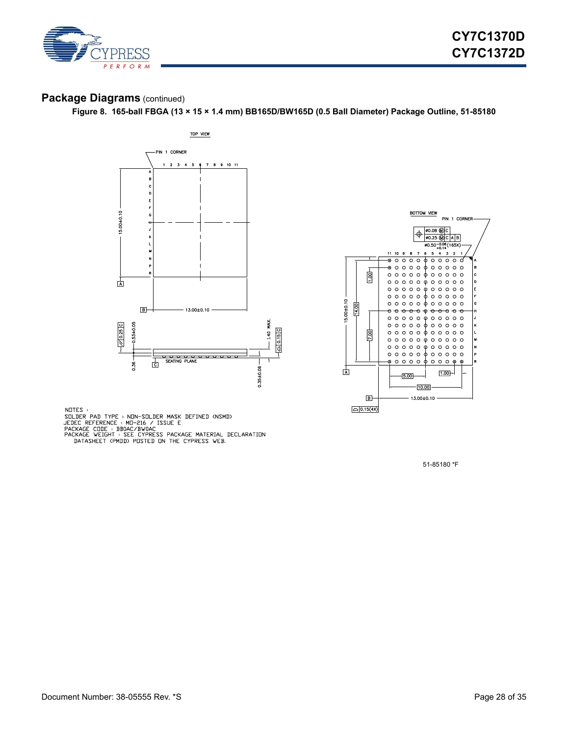

### **Package Diagrams** (continued)

**Figure 8. 165-ball FBGA (13 × 15 × 1.4 mm) BB165D/BW165D (0.5 Ball Diameter) Package Outline, 51-85180**





 $NUTES$ :

NUILS<br>SOLDER PAD TYPE : NON-SOLDER MASK DEFINED (NSMD)<br>JEDEC REFERENCE : MO-216 / ISSUE E<br>PACKAGE CODE : BBOAC/BVOAC<br>PACKAGE WEIGHT : SEE CYPRESS PACKAGE MATERIAL DECLARATION<br>DATASHEET (PMDD) POSTED ON THE CYPRESS WEB.

51-85180 \*F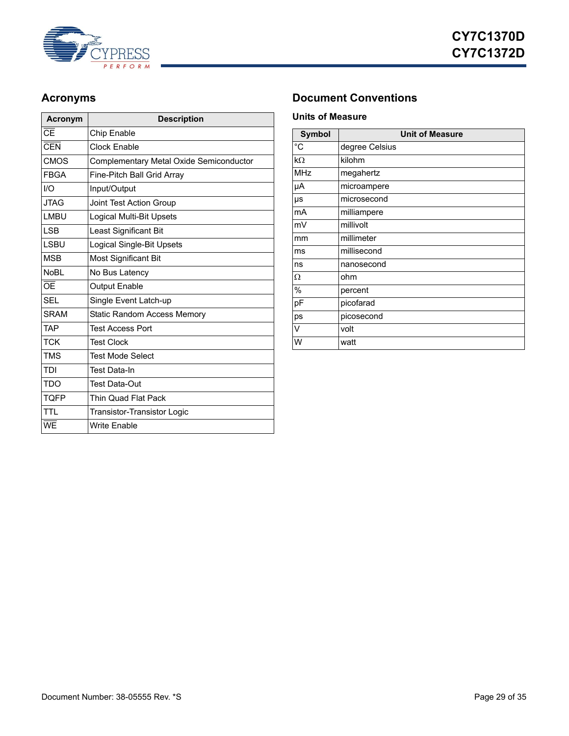

| <b>Acronym</b>           | <b>Description</b>                      |
|--------------------------|-----------------------------------------|
| $\overline{\text{CE}}$   | Chip Enable                             |
| $\overline{\text{CFN}}$  | <b>Clock Enable</b>                     |
| <b>CMOS</b>              | Complementary Metal Oxide Semiconductor |
| <b>FBGA</b>              | Fine-Pitch Ball Grid Array              |
| 1/O                      | Input/Output                            |
| <b>JTAG</b>              | Joint Test Action Group                 |
| <b>LMBU</b>              | Logical Multi-Bit Upsets                |
| <b>LSB</b>               | Least Significant Bit                   |
| I SBU                    | Logical Single-Bit Upsets               |
| <b>MSB</b>               | <b>Most Significant Bit</b>             |
| NoBl                     | No Bus Latency                          |
| $\overline{OF}$          | <b>Output Enable</b>                    |
| SEL                      | Single Event Latch-up                   |
| <b>SRAM</b>              | <b>Static Random Access Memory</b>      |
| TAP                      | <b>Test Access Port</b>                 |
| <b>TCK</b>               | <b>Test Clock</b>                       |
| <b>TMS</b>               | <b>Test Mode Select</b>                 |
| <b>TDI</b>               | <b>Test Data-In</b>                     |
| TDO                      | Test Data-Out                           |
| <b>TQFP</b>              | Thin Quad Flat Pack                     |
| <b>TTI</b>               | Transistor-Transistor Logic             |
| $\overline{\mathsf{WF}}$ | <b>Write Enable</b>                     |

## <span id="page-28-0"></span>**Acronyms Document Conventions**

### <span id="page-28-2"></span><span id="page-28-1"></span>**Units of Measure**

| <b>Symbol</b> | <b>Unit of Measure</b> |
|---------------|------------------------|
| $^{\circ}C$   | degree Celsius         |
| kΩ            | kilohm                 |
| <b>MHz</b>    | megahertz              |
| μA            | microampere            |
| μs            | microsecond            |
| mA            | milliampere            |
| mV            | millivolt              |
| mm            | millimeter             |
| ms            | millisecond            |
| ns            | nanosecond             |
| Ω             | ohm                    |
| $\%$          | percent                |
| рF            | picofarad              |
| ps            | picosecond             |
| V             | volt                   |
| W             | watt                   |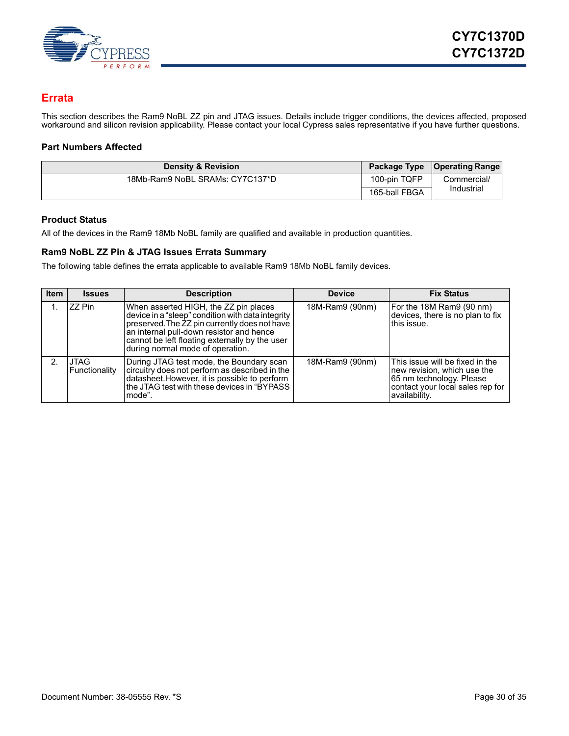

## <span id="page-29-0"></span>**Errata**

This section describes the Ram9 NoBL ZZ pin and JTAG issues. Details include trigger conditions, the devices affected, proposed workaround and silicon revision applicability. Please contact your local Cypress sales representative if you have further questions.

### <span id="page-29-1"></span>**Part Numbers Affected**

| <b>Density &amp; Revision</b>   |               | Package Type   Operating Range |
|---------------------------------|---------------|--------------------------------|
| 18Mb-Ram9 NoBL SRAMs: CY7C137*D | 100-pin TQFP  | Commercial/                    |
|                                 | 165-ball FBGA | Industrial                     |

### <span id="page-29-2"></span>**Product Status**

All of the devices in the Ram9 18Mb NoBL family are qualified and available in production quantities.

### <span id="page-29-3"></span>**Ram9 NoBL ZZ Pin & JTAG Issues Errata Summary**

The following table defines the errata applicable to available Ram9 18Mb NoBL family devices.

| <b>Item</b>    | <b>Issues</b>         | <b>Description</b>                                                                                                                                                                                                                                                            | <b>Device</b>   | <b>Fix Status</b>                                                                                                                               |
|----------------|-----------------------|-------------------------------------------------------------------------------------------------------------------------------------------------------------------------------------------------------------------------------------------------------------------------------|-----------------|-------------------------------------------------------------------------------------------------------------------------------------------------|
|                | ZZ Pin                | When asserted HIGH, the ZZ pin places<br>device in a "sleep" condition with data integrity<br>preserved. The ZZ pin currently does not have<br>an internal pull-down resistor and hence<br>cannot be left floating externally by the user<br>during normal mode of operation. | 18M-Ram9 (90nm) | For the 18M Ram9 (90 nm)<br>devices, there is no plan to fix<br>this issue.                                                                     |
| $\overline{2}$ | JTAG<br>Functionality | During JTAG test mode, the Boundary scan<br>circuitry does not perform as described in the<br>datasheet. However, it is possible to perform<br>the JTAG test with these devices in "BYPASS"<br>mode".                                                                         | 18M-Ram9 (90nm) | This issue will be fixed in the<br>new revision, which use the<br>65 nm technology. Please<br>contact your local sales rep for<br>availability. |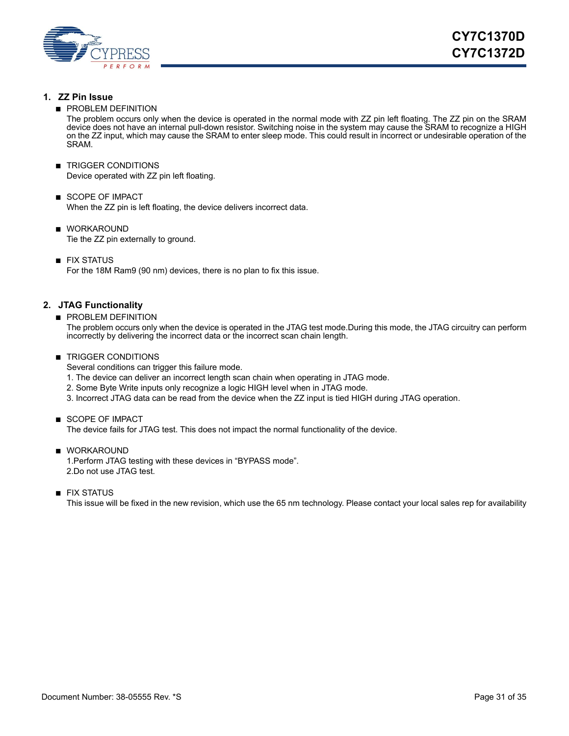

### **1. ZZ Pin Issue**

**■ PROBLEM DEFINITION** 

The problem occurs only when the device is operated in the normal mode with ZZ pin left floating. The ZZ pin on the SRAM device does not have an internal pull-down resistor. Switching noise in the system may cause the SRAM to recognize a HIGH on the ZZ input, which may cause the SRAM to enter sleep mode. This could result in incorrect or undesirable operation of the SRAM.

- TRIGGER CONDITIONS Device operated with ZZ pin left floating.
- SCOPE OF IMPACT When the ZZ pin is left floating, the device delivers incorrect data.
- WORKAROUND Tie the ZZ pin externally to ground.
- FIX STATUS

For the 18M Ram9 (90 nm) devices, there is no plan to fix this issue.

### **2. JTAG Functionality**

■ PROBLEM DEFINITION

The problem occurs only when the device is operated in the JTAG test mode.During this mode, the JTAG circuitry can perform incorrectly by delivering the incorrect data or the incorrect scan chain length.

### ■ TRIGGER CONDITIONS

Several conditions can trigger this failure mode.

- 1. The device can deliver an incorrect length scan chain when operating in JTAG mode.
- 2. Some Byte Write inputs only recognize a logic HIGH level when in JTAG mode.
- 3. Incorrect JTAG data can be read from the device when the ZZ input is tied HIGH during JTAG operation.
- SCOPE OF IMPACT

The device fails for JTAG test. This does not impact the normal functionality of the device.

- WORKAROUND 1.Perform JTAG testing with these devices in "BYPASS mode". 2.Do not use JTAG test.
- FIX STATUS

This issue will be fixed in the new revision, which use the 65 nm technology. Please contact your local sales rep for availability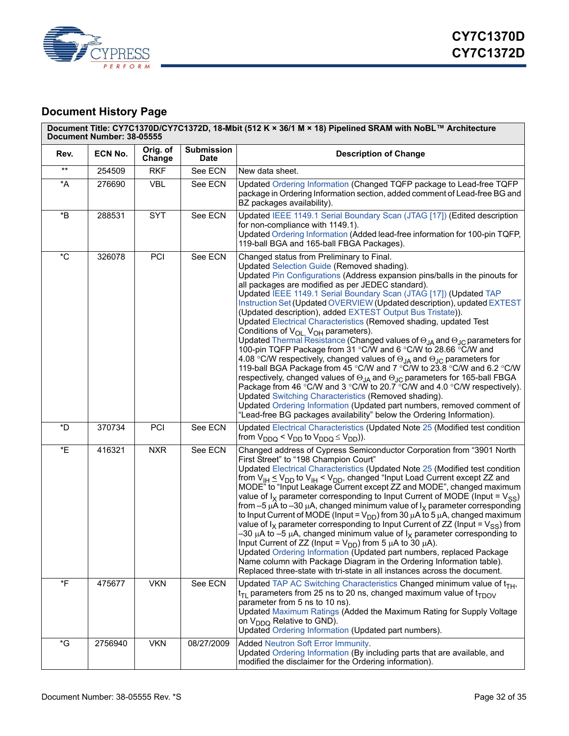

## <span id="page-31-0"></span>**Document History Page**

| Rev.                 | ECN No. | Orig. of<br>Change | <b>Submission</b><br><b>Date</b> | <b>Description of Change</b>                                                                                                                                                                                                                                                                                                                                                                                                                                                                                                                                                                                                                                                                                                                                                                                                                                                                                                                                                                                                                                                                                                                                                                                                                                                                                 |
|----------------------|---------|--------------------|----------------------------------|--------------------------------------------------------------------------------------------------------------------------------------------------------------------------------------------------------------------------------------------------------------------------------------------------------------------------------------------------------------------------------------------------------------------------------------------------------------------------------------------------------------------------------------------------------------------------------------------------------------------------------------------------------------------------------------------------------------------------------------------------------------------------------------------------------------------------------------------------------------------------------------------------------------------------------------------------------------------------------------------------------------------------------------------------------------------------------------------------------------------------------------------------------------------------------------------------------------------------------------------------------------------------------------------------------------|
| $\star\star$         | 254509  | <b>RKF</b>         | See ECN                          | New data sheet.                                                                                                                                                                                                                                                                                                                                                                                                                                                                                                                                                                                                                                                                                                                                                                                                                                                                                                                                                                                                                                                                                                                                                                                                                                                                                              |
| *A                   | 276690  | <b>VBL</b>         | See ECN                          | Updated Ordering Information (Changed TQFP package to Lead-free TQFP<br>package in Ordering Information section, added comment of Lead-free BG and<br>BZ packages availability).                                                                                                                                                                                                                                                                                                                                                                                                                                                                                                                                                                                                                                                                                                                                                                                                                                                                                                                                                                                                                                                                                                                             |
| *B                   | 288531  | <b>SYT</b>         | See ECN                          | Updated IEEE 1149.1 Serial Boundary Scan (JTAG [17]) (Edited description<br>for non-compliance with 1149.1).<br>Updated Ordering Information (Added lead-free information for 100-pin TQFP,<br>119-ball BGA and 165-ball FBGA Packages).                                                                                                                                                                                                                                                                                                                                                                                                                                                                                                                                                                                                                                                                                                                                                                                                                                                                                                                                                                                                                                                                     |
| ${}^{\star}C$        | 326078  | PCI                | See ECN                          | Changed status from Preliminary to Final.<br>Updated Selection Guide (Removed shading).<br>Updated Pin Configurations (Address expansion pins/balls in the pinouts for<br>all packages are modified as per JEDEC standard).<br>Updated IEEE 1149.1 Serial Boundary Scan (JTAG [17]) (Updated TAP<br>Instruction Set (Updated OVERVIEW (Updated description), updated EXTEST<br>(Updated description), added EXTEST Output Bus Tristate)).<br>Updated Electrical Characteristics (Removed shading, updated Test<br>Conditions of V <sub>OL,</sub> V <sub>OH</sub> parameters).<br>Updated Thermal Resistance (Changed values of $\Theta_{JA}$ and $\Theta_{JC}$ parameters for<br>100-pin TQFP Package from 31 °C/W and 6 °C/W to 28.66 °C/W and<br>4.08 °C/W respectively, changed values of $\Theta_{JA}$ and $\Theta_{JC}$ parameters for<br>119-ball BGA Package from 45 °C/W and 7 °C/W to 23.8 °C/W and 6.2 °C/W<br>respectively, changed values of $\Theta_{JA}$ and $\Theta_{JC}$ parameters for 165-ball FBGA<br>Package from 46 °C/W and 3 °C/W to 20.7 °C/W and 4.0 °C/W respectively).<br>Updated Switching Characteristics (Removed shading).<br>Updated Ordering Information (Updated part numbers, removed comment of<br>"Lead-free BG packages availability" below the Ordering Information). |
| *D                   | 370734  | PCI                | See ECN                          | Updated Electrical Characteristics (Updated Note 25 (Modified test condition<br>from $V_{DDQ}$ < $V_{DD}$ to $V_{DDQ} \leq V_{DD}$ )).                                                                                                                                                                                                                                                                                                                                                                                                                                                                                                                                                                                                                                                                                                                                                                                                                                                                                                                                                                                                                                                                                                                                                                       |
| *E                   | 416321  | <b>NXR</b>         | See ECN                          | Changed address of Cypress Semiconductor Corporation from "3901 North<br>First Street" to "198 Champion Court"<br>Updated Electrical Characteristics (Updated Note 25 (Modified test condition<br>from $V_{IH} \leq V_{DD}$ to $V_{IH} < V_{DD}$ , changed "Input Load Current except ZZ and<br>MODE" to "Input Leakage Current except ZZ and MODE", changed maximum<br>value of $I_X$ parameter corresponding to Input Current of MODE (Input = $V_{SS}$ )<br>from -5 $\mu$ A to -30 $\mu$ A, changed minimum value of $I_X$ parameter corresponding<br>to Input Current of MODE (Input = $V_{DD}$ ) from 30 $\mu$ A to 5 $\mu$ A, changed maximum<br>value of $I_X$ parameter corresponding to Input Current of ZZ (Input = $V_{SS}$ ) from<br>-30 $\mu$ A to -5 $\mu$ A, changed minimum value of $I_x$ parameter corresponding to<br>Input Current of ZZ (Input = $V_{DD}$ ) from 5 $\mu$ A to 30 $\mu$ A).<br>Updated Ordering Information (Updated part numbers, replaced Package<br>Name column with Package Diagram in the Ordering Information table).<br>Replaced three-state with tri-state in all instances across the document.                                                                                                                                                                 |
| *F                   | 475677  | <b>VKN</b>         | See ECN                          | Updated TAP AC Switching Characteristics Changed minimum value of t <sub>TH</sub> ,<br>$t_{\text{TI}}$ parameters from 25 ns to 20 ns, changed maximum value of $t_{\text{TDOV}}$<br>parameter from 5 ns to 10 ns).<br>Updated Maximum Ratings (Added the Maximum Rating for Supply Voltage<br>on V <sub>DDQ</sub> Relative to GND).<br>Updated Ordering Information (Updated part numbers).                                                                                                                                                                                                                                                                                                                                                                                                                                                                                                                                                                                                                                                                                                                                                                                                                                                                                                                 |
| $\,{}^{\ast}{\rm G}$ | 2756940 | <b>VKN</b>         | 08/27/2009                       | <b>Added Neutron Soft Error Immunity.</b><br>Updated Ordering Information (By including parts that are available, and<br>modified the disclaimer for the Ordering information).                                                                                                                                                                                                                                                                                                                                                                                                                                                                                                                                                                                                                                                                                                                                                                                                                                                                                                                                                                                                                                                                                                                              |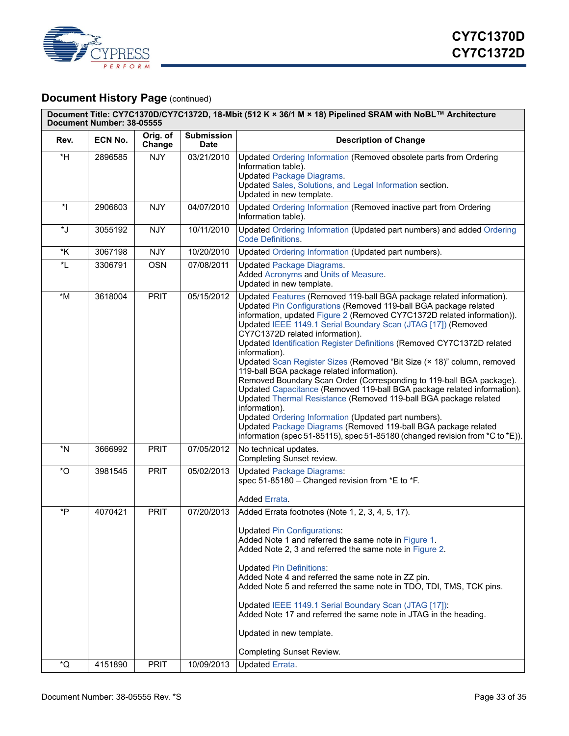

## **Document History Page (continued)**

| Document Title: CY7C1370D/CY7C1372D, 18-Mbit (512 K × 36/1 M × 18) Pipelined SRAM with NoBL™ Architecture<br>Document Number: 38-05555 |         |                    |                                  |                                                                                                                                                                                                                                                                                                                                                                                                                                                                                                                                                                                                                                                                                                                                                                                                                                                                                                                                                                                               |
|----------------------------------------------------------------------------------------------------------------------------------------|---------|--------------------|----------------------------------|-----------------------------------------------------------------------------------------------------------------------------------------------------------------------------------------------------------------------------------------------------------------------------------------------------------------------------------------------------------------------------------------------------------------------------------------------------------------------------------------------------------------------------------------------------------------------------------------------------------------------------------------------------------------------------------------------------------------------------------------------------------------------------------------------------------------------------------------------------------------------------------------------------------------------------------------------------------------------------------------------|
| Rev.                                                                                                                                   | ECN No. | Orig. of<br>Change | <b>Submission</b><br><b>Date</b> | <b>Description of Change</b>                                                                                                                                                                                                                                                                                                                                                                                                                                                                                                                                                                                                                                                                                                                                                                                                                                                                                                                                                                  |
| $*H$                                                                                                                                   | 2896585 | <b>NJY</b>         | 03/21/2010                       | Updated Ordering Information (Removed obsolete parts from Ordering<br>Information table).<br><b>Updated Package Diagrams.</b><br>Updated Sales, Solutions, and Legal Information section.<br>Updated in new template.                                                                                                                                                                                                                                                                                                                                                                                                                                                                                                                                                                                                                                                                                                                                                                         |
| $\overline{\phantom{a}}$                                                                                                               | 2906603 | <b>NJY</b>         | 04/07/2010                       | Updated Ordering Information (Removed inactive part from Ordering<br>Information table).                                                                                                                                                                                                                                                                                                                                                                                                                                                                                                                                                                                                                                                                                                                                                                                                                                                                                                      |
| *J                                                                                                                                     | 3055192 | <b>NJY</b>         | 10/11/2010                       | Updated Ordering Information (Updated part numbers) and added Ordering<br><b>Code Definitions.</b>                                                                                                                                                                                                                                                                                                                                                                                                                                                                                                                                                                                                                                                                                                                                                                                                                                                                                            |
| *K                                                                                                                                     | 3067198 | <b>NJY</b>         | 10/20/2010                       | Updated Ordering Information (Updated part numbers).                                                                                                                                                                                                                                                                                                                                                                                                                                                                                                                                                                                                                                                                                                                                                                                                                                                                                                                                          |
| *L                                                                                                                                     | 3306791 | <b>OSN</b>         | 07/08/2011                       | <b>Updated Package Diagrams.</b><br>Added Acronyms and Units of Measure.<br>Updated in new template.                                                                                                                                                                                                                                                                                                                                                                                                                                                                                                                                                                                                                                                                                                                                                                                                                                                                                          |
| $*M$                                                                                                                                   | 3618004 | <b>PRIT</b>        | 05/15/2012                       | Updated Features (Removed 119-ball BGA package related information).<br>Updated Pin Configurations (Removed 119-ball BGA package related<br>information, updated Figure 2 (Removed CY7C1372D related information)).<br>Updated IEEE 1149.1 Serial Boundary Scan (JTAG [17]) (Removed<br>CY7C1372D related information).<br>Updated Identification Register Definitions (Removed CY7C1372D related<br>information).<br>Updated Scan Register Sizes (Removed "Bit Size (x 18)" column, removed<br>119-ball BGA package related information).<br>Removed Boundary Scan Order (Corresponding to 119-ball BGA package).<br>Updated Capacitance (Removed 119-ball BGA package related information).<br>Updated Thermal Resistance (Removed 119-ball BGA package related<br>information).<br>Updated Ordering Information (Updated part numbers).<br>Updated Package Diagrams (Removed 119-ball BGA package related<br>information (spec 51-85115), spec 51-85180 (changed revision from *C to *E)). |
| *N                                                                                                                                     | 3666992 | <b>PRIT</b>        | 07/05/2012                       | No technical updates.<br>Completing Sunset review.                                                                                                                                                                                                                                                                                                                                                                                                                                                                                                                                                                                                                                                                                                                                                                                                                                                                                                                                            |
| *O                                                                                                                                     | 3981545 | <b>PRIT</b>        | 05/02/2013                       | <b>Updated Package Diagrams:</b><br>spec 51-85180 - Changed revision from *E to *F.<br>Added Errata.                                                                                                                                                                                                                                                                                                                                                                                                                                                                                                                                                                                                                                                                                                                                                                                                                                                                                          |
| *P                                                                                                                                     | 4070421 | <b>PRIT</b>        | 07/20/2013                       | Added Errata footnotes (Note 1, 2, 3, 4, 5, 17).<br><b>Updated Pin Configurations:</b><br>Added Note 1 and referred the same note in Figure 1.<br>Added Note 2, 3 and referred the same note in Figure 2.<br><b>Updated Pin Definitions:</b><br>Added Note 4 and referred the same note in ZZ pin.<br>Added Note 5 and referred the same note in TDO, TDI, TMS, TCK pins.<br>Updated IEEE 1149.1 Serial Boundary Scan (JTAG [17]):<br>Added Note 17 and referred the same note in JTAG in the heading.<br>Updated in new template.<br>Completing Sunset Review.                                                                                                                                                                                                                                                                                                                                                                                                                               |
| *Q                                                                                                                                     | 4151890 | <b>PRIT</b>        | 10/09/2013                       | <b>Updated Errata.</b>                                                                                                                                                                                                                                                                                                                                                                                                                                                                                                                                                                                                                                                                                                                                                                                                                                                                                                                                                                        |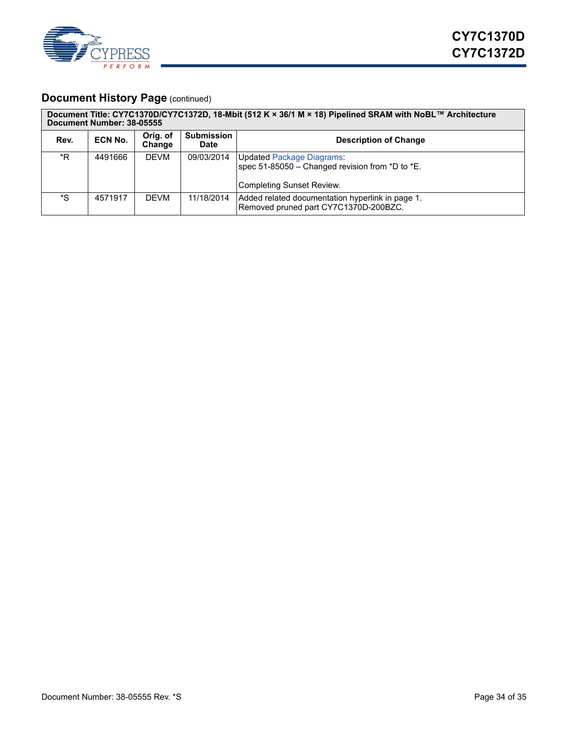

## **Document History Page (continued)**

| Document Title: CY7C1370D/CY7C1372D, 18-Mbit (512 K × 36/1 M × 18) Pipelined SRAM with NoBL™ Architecture<br>Document Number: 38-05555 |         |                    |                           |                                                                                                                  |  |
|----------------------------------------------------------------------------------------------------------------------------------------|---------|--------------------|---------------------------|------------------------------------------------------------------------------------------------------------------|--|
| Rev.                                                                                                                                   | ECN No. | Orig. of<br>Change | <b>Submission</b><br>Date | <b>Description of Change</b>                                                                                     |  |
| *R.                                                                                                                                    | 4491666 | DEVM               | 09/03/2014                | <b>Updated Package Diagrams:</b><br>spec 51-85050 – Changed revision from *D to *E.<br>Completing Sunset Review. |  |
| *S                                                                                                                                     | 4571917 | <b>DFVM</b>        | 11/18/2014                | Added related documentation hyperlink in page 1.<br>Removed pruned part CY7C1370D-200BZC.                        |  |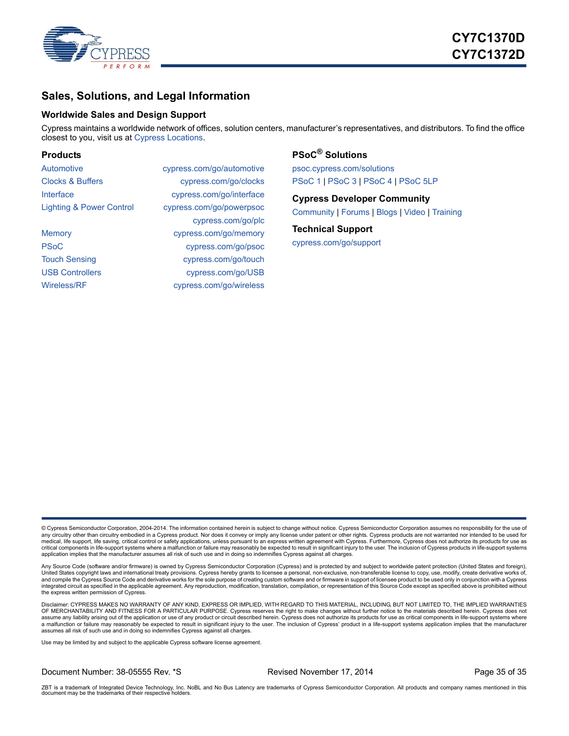

### <span id="page-34-0"></span>**Sales, Solutions, and Legal Information**

### <span id="page-34-1"></span>**Worldwide Sales and Design Support**

Cypress maintains a worldwide network of offices, solution centers, manufacturer's representatives, and distributors. To find the office closest to you, visit us at [Cypress Locations](http://www.cypress.com/go/locations).

<span id="page-34-2"></span>

| <b>Products</b>                     |                           |
|-------------------------------------|---------------------------|
| Automotive                          | cypress.com/go/automotive |
| <b>Clocks &amp; Buffers</b>         | cypress.com/go/clocks     |
| Interface                           | cypress.com/go/interface  |
| <b>Lighting &amp; Power Control</b> | cypress.com/go/powerpsoc  |
|                                     | cypress.com/go/plc        |
| <b>Memory</b>                       | cypress.com/go/memory     |
| <b>PSoC</b>                         | cypress.com/go/psoc       |
| <b>Touch Sensing</b>                | cypress.com/go/touch      |
| <b>USB Controllers</b>              | cypress.com/go/USB        |
| Wireless/RF                         | cypress.com/go/wireless   |
|                                     |                           |

<span id="page-34-3"></span>**PSoC[® Solutions](http://www.cypress.com/?id=1353)**

[psoc.cypress.com/solutions](http://www.cypress.com/?id=1353) [PSoC 1](http://www.cypress.com/?id=1573) [| PSoC 3](http://www.cypress.com/?id=2232) | [PSoC 4](http://www.cypress.com/?id=4749) [| PSoC 5LP](http://www.cypress.com/?id=4562)

<span id="page-34-4"></span>**Cypress Developer Community** [Community](http://www.cypress.com/?id=2203) | [Forums](http://www.cypress.com/?app=forum) | [Blogs](http://www.cypress.com/?id=2200) | [Video](http://www.cypress.com/?id=2660) | [Training](http://www.cypress.com/?id=1162)

<span id="page-34-5"></span>**Technical Support** [cypress.com/go/support](http://www.cypress.com/go/support)

© Cypress Semiconductor Corporation, 2004-2014. The information contained herein is subject to change without notice. Cypress Semiconductor Corporation assumes no responsibility for the use of any circuitry other than circuitry embodied in a Cypress product. Nor does it convey or imply any license under patent or other rights. Cypress products are not warranted nor intended to be used for medical, life support, life saving, critical control or safety applications, unless pursuant to an express written agreement with Cypress. Furthermore, Cypress does not authorize its products for use as<br>critical components application implies that the manufacturer assumes all risk of such use and in doing so indemnifies Cypress against all charges.

Any Source Code (software and/or firmware) is owned by Cypress Semiconductor Corporation (Cypress) and is protected by and subject to worldwide patent protection (United States and foreign), United States copyright laws and international treaty provisions. Cypress hereby grants to licensee a personal, non-exclusive, non-transferable license to copy, use, modify, create derivative works of,<br>and compile the Cypr integrated circuit as specified in the applicable agreement. Any reproduction, modification, translation, compilation, or representation of this Source Code except as specified above is prohibited without the express written permission of Cypress.

Disclaimer: CYPRESS MAKES NO WARRANTY OF ANY KIND, EXPRESS OR IMPLIED, WITH REGARD TO THIS MATERIAL, INCLUDING, BUT NOT LIMITED TO, THE IMPLIED WARRANTIES OF MERCHANTABILITY AND FITNESS FOR A PARTICULAR PURPOSE. Cypress reserves the right to make changes without further notice to the materials described herein. Cypress does not assume any liability arising out of the application or use of any product or circuit described herein. Cypress does not authorize its products for use as critical components in life-support systems where a malfunction or failure may reasonably be expected to result in significant injury to the user. The inclusion of Cypress' product in a life-support systems application implies that the manufacturer assumes all risk of such use and in doing so indemnifies Cypress against all charges.

Use may be limited by and subject to the applicable Cypress software license agreement.

Document Number: 38-05555 Rev. \*S New South Revised November 17, 2014 Page 35 of 35

ZBT is a trademark of Integrated Device Technology, Inc. NoBL and No Bus Latency are trademarks of Cypress Semiconductor Corporation. All products and company names mentioned in this<br>document may be the trademarks of their